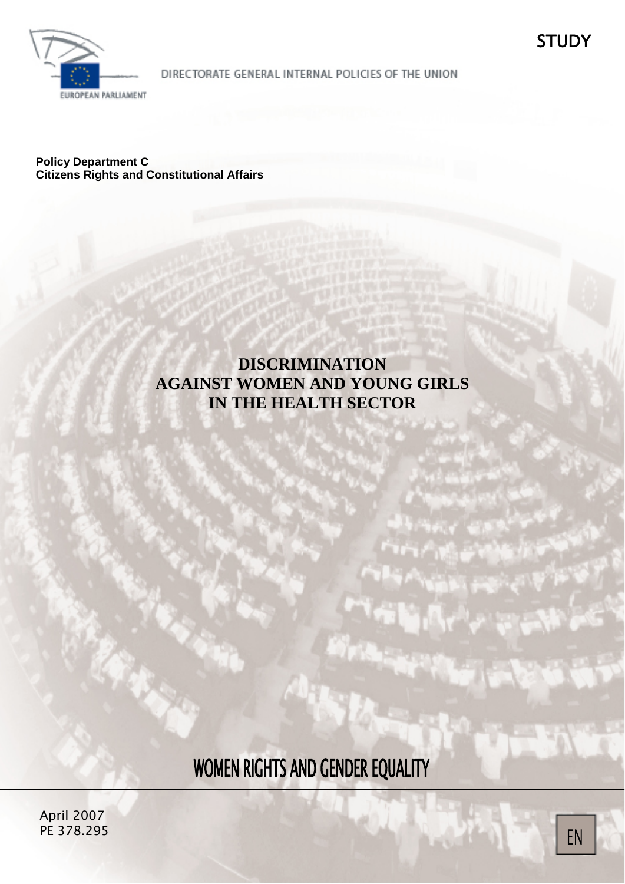

DIRECTORATE GENERAL INTERNAL POLICIES OF THE UNION

**Policy Department C Citizens Rights and Constitutional Affairs** 

# **DISCRIMINATION AGAINST WOMEN AND YOUNG GIRLS IN THE HEALTH SECTOR**

WOMEN RIGHTS AND GENDER EQUALITY

JANUARY 2004 April 2007 PE 378.295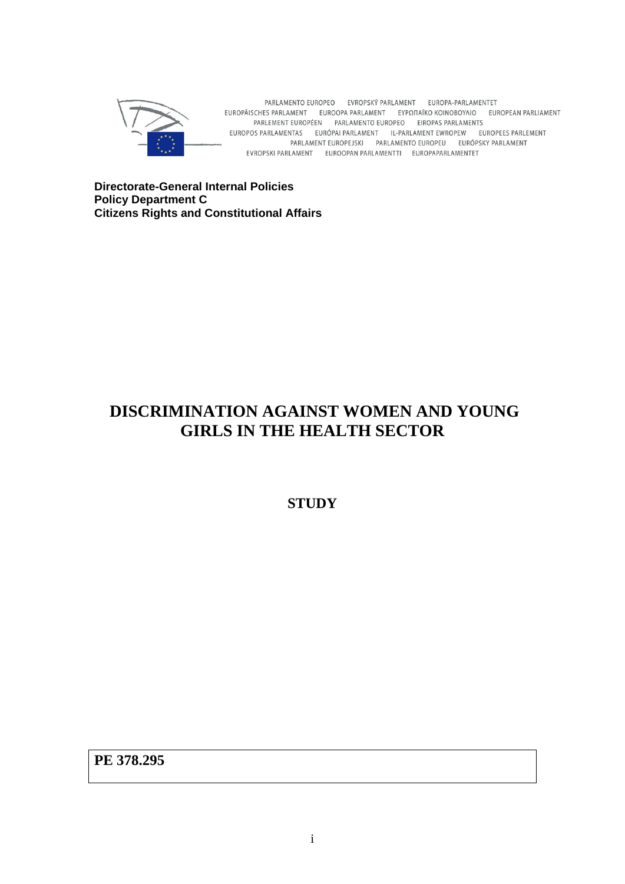

PARLAMENTO EUROPEO EVROPSKÝ PARLAMENT EUROPA-PARLAMENTET EUROPÄISCHES PARLAMENT EUROOPA PARLAMENT EYPONAÏKO KOINOBOYAIO EUROPEAN PARLIAMENT PARLEMENT EUROPÉEN PARLAMENTO EUROPEO EIROPAS PARLAMENTS EUROPOS PARLAMENTAS EURÓPAI PARLAMENT IL-PARLAMENT EWROPEW EUROPEES PARLEMENT PARLAMENT EUROPEJSKI PARLAMENTO EUROPEU EURÓPSKY PARLAMENT EVROPSKI PARLAMENT EUROOPAN PARLAMENTTI EUROPAPARLAMENTET

**Directorate-General Internal Policies Policy Department C Citizens Rights and Constitutional Affairs** 

# **DISCRIMINATION AGAINST WOMEN AND YOUNG GIRLS IN THE HEALTH SECTOR**

**STUDY** 

**PE 378.295**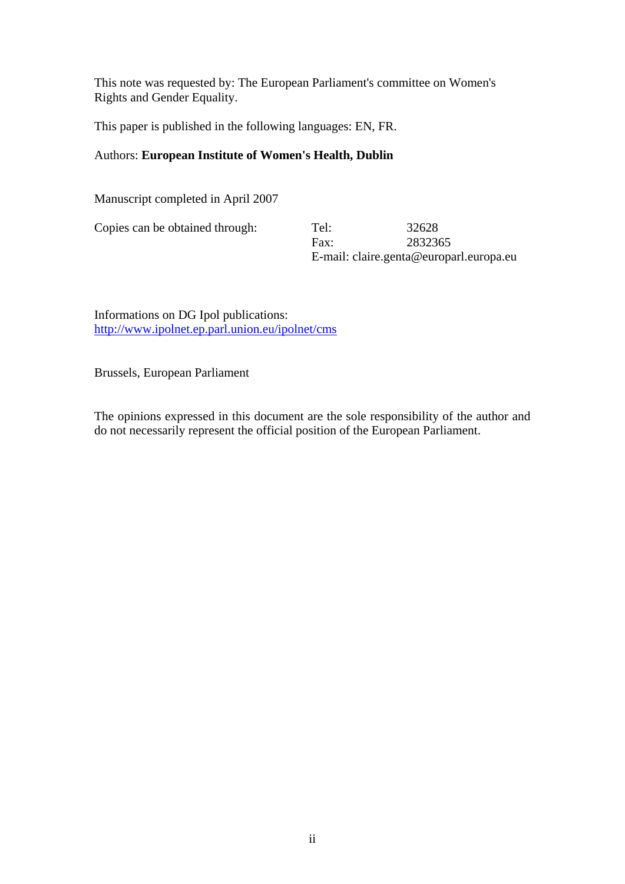This note was requested by: The European Parliament's committee on Women's Rights and Gender Equality.

This paper is published in the following languages: EN, FR.

## Authors: **European Institute of Women's Health, Dublin**

Manuscript completed in April 2007

Copies can be obtained through: Tel: 32628

 Fax: 2832365 E-mail: claire.genta@europarl.europa.eu

Informations on DG Ipol publications: http://www.ipolnet.ep.parl.union.eu/ipolnet/cms

Brussels, European Parliament

The opinions expressed in this document are the sole responsibility of the author and do not necessarily represent the official position of the European Parliament.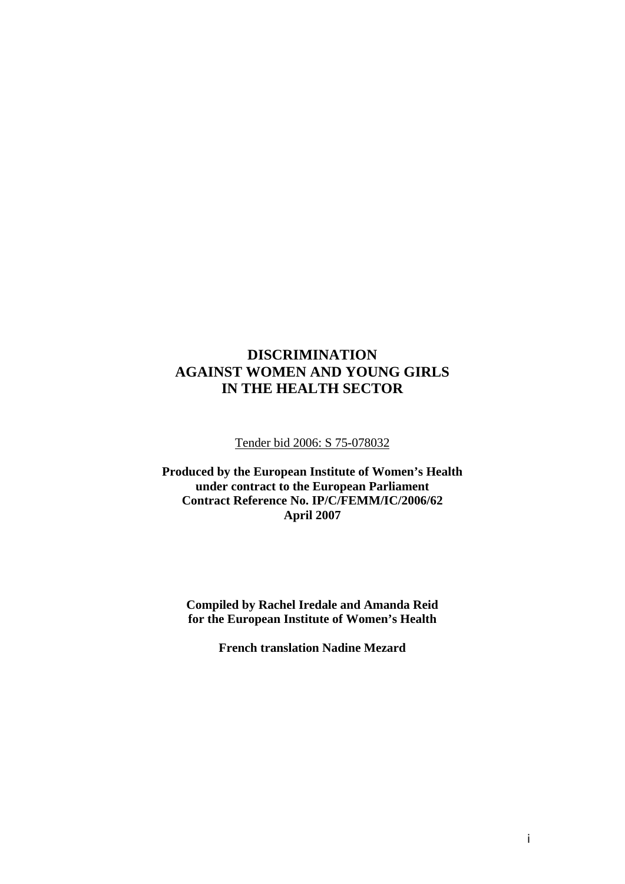# **DISCRIMINATION AGAINST WOMEN AND YOUNG GIRLS IN THE HEALTH SECTOR**

#### Tender bid 2006: S 75-078032

**Produced by the European Institute of Women's Health under contract to the European Parliament Contract Reference No. IP/C/FEMM/IC/2006/62 April 2007** 

**Compiled by Rachel Iredale and Amanda Reid for the European Institute of Women's Health** 

**French translation Nadine Mezard**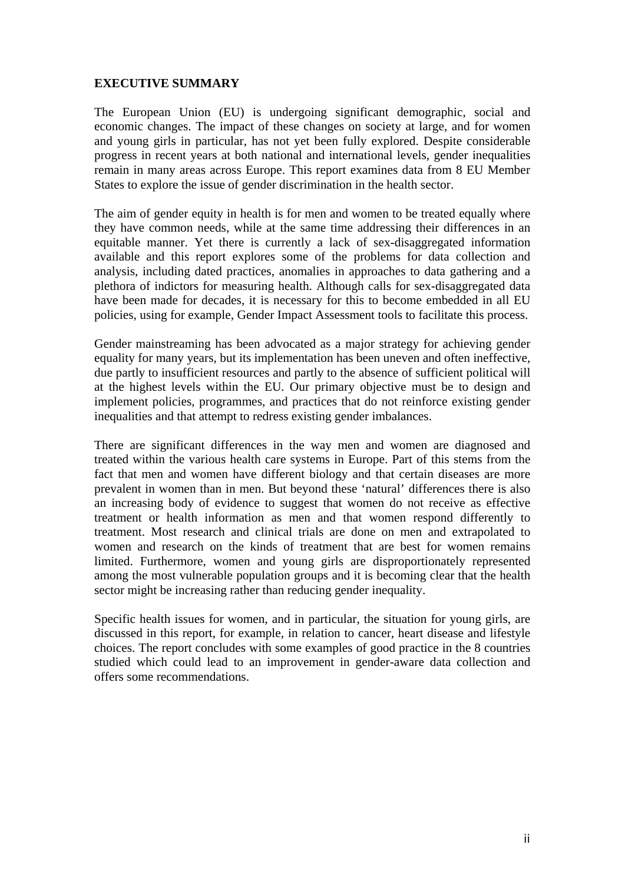#### **EXECUTIVE SUMMARY**

The European Union (EU) is undergoing significant demographic, social and economic changes. The impact of these changes on society at large, and for women and young girls in particular, has not yet been fully explored. Despite considerable progress in recent years at both national and international levels, gender inequalities remain in many areas across Europe. This report examines data from 8 EU Member States to explore the issue of gender discrimination in the health sector.

The aim of gender equity in health is for men and women to be treated equally where they have common needs, while at the same time addressing their differences in an equitable manner. Yet there is currently a lack of sex-disaggregated information available and this report explores some of the problems for data collection and analysis, including dated practices, anomalies in approaches to data gathering and a plethora of indictors for measuring health. Although calls for sex-disaggregated data have been made for decades, it is necessary for this to become embedded in all EU policies, using for example, Gender Impact Assessment tools to facilitate this process.

Gender mainstreaming has been advocated as a major strategy for achieving gender equality for many years, but its implementation has been uneven and often ineffective, due partly to insufficient resources and partly to the absence of sufficient political will at the highest levels within the EU. Our primary objective must be to design and implement policies, programmes, and practices that do not reinforce existing gender inequalities and that attempt to redress existing gender imbalances.

There are significant differences in the way men and women are diagnosed and treated within the various health care systems in Europe. Part of this stems from the fact that men and women have different biology and that certain diseases are more prevalent in women than in men. But beyond these 'natural' differences there is also an increasing body of evidence to suggest that women do not receive as effective treatment or health information as men and that women respond differently to treatment. Most research and clinical trials are done on men and extrapolated to women and research on the kinds of treatment that are best for women remains limited. Furthermore, women and young girls are disproportionately represented among the most vulnerable population groups and it is becoming clear that the health sector might be increasing rather than reducing gender inequality.

Specific health issues for women, and in particular, the situation for young girls, are discussed in this report, for example, in relation to cancer, heart disease and lifestyle choices. The report concludes with some examples of good practice in the 8 countries studied which could lead to an improvement in gender-aware data collection and offers some recommendations.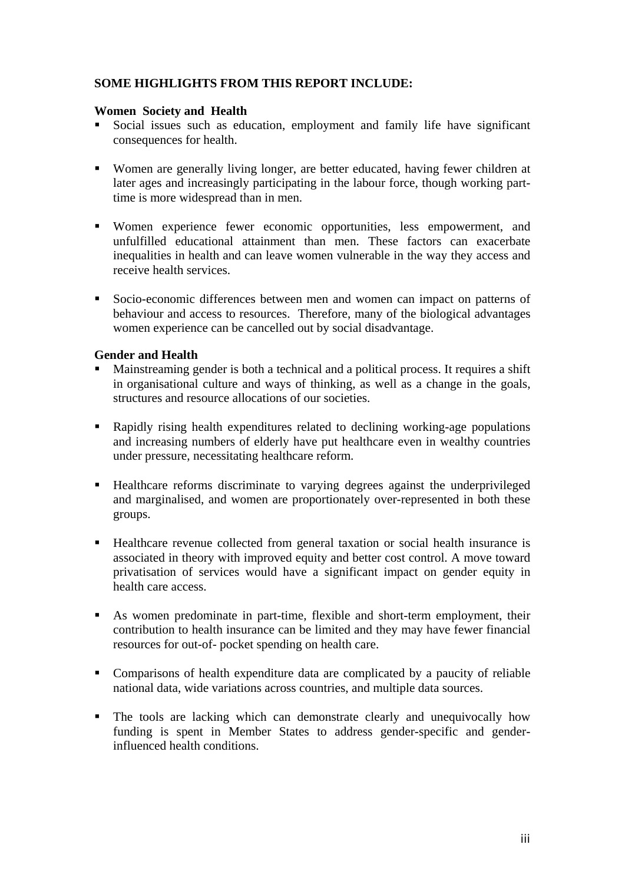# **SOME HIGHLIGHTS FROM THIS REPORT INCLUDE:**

#### **Women Society and Health**

- Social issues such as education, employment and family life have significant consequences for health.
- Women are generally living longer, are better educated, having fewer children at later ages and increasingly participating in the labour force, though working parttime is more widespread than in men.
- Women experience fewer economic opportunities, less empowerment, and unfulfilled educational attainment than men. These factors can exacerbate inequalities in health and can leave women vulnerable in the way they access and receive health services.
- Socio-economic differences between men and women can impact on patterns of behaviour and access to resources. Therefore, many of the biological advantages women experience can be cancelled out by social disadvantage.

#### **Gender and Health**

- Mainstreaming gender is both a technical and a political process. It requires a shift in organisational culture and ways of thinking, as well as a change in the goals, structures and resource allocations of our societies.
- Rapidly rising health expenditures related to declining working-age populations and increasing numbers of elderly have put healthcare even in wealthy countries under pressure, necessitating healthcare reform.
- Healthcare reforms discriminate to varying degrees against the underprivileged and marginalised, and women are proportionately over-represented in both these groups.
- Healthcare revenue collected from general taxation or social health insurance is associated in theory with improved equity and better cost control. A move toward privatisation of services would have a significant impact on gender equity in health care access.
- As women predominate in part-time, flexible and short-term employment, their contribution to health insurance can be limited and they may have fewer financial resources for out-of- pocket spending on health care.
- Comparisons of health expenditure data are complicated by a paucity of reliable national data, wide variations across countries, and multiple data sources.
- The tools are lacking which can demonstrate clearly and unequivocally how funding is spent in Member States to address gender-specific and genderinfluenced health conditions.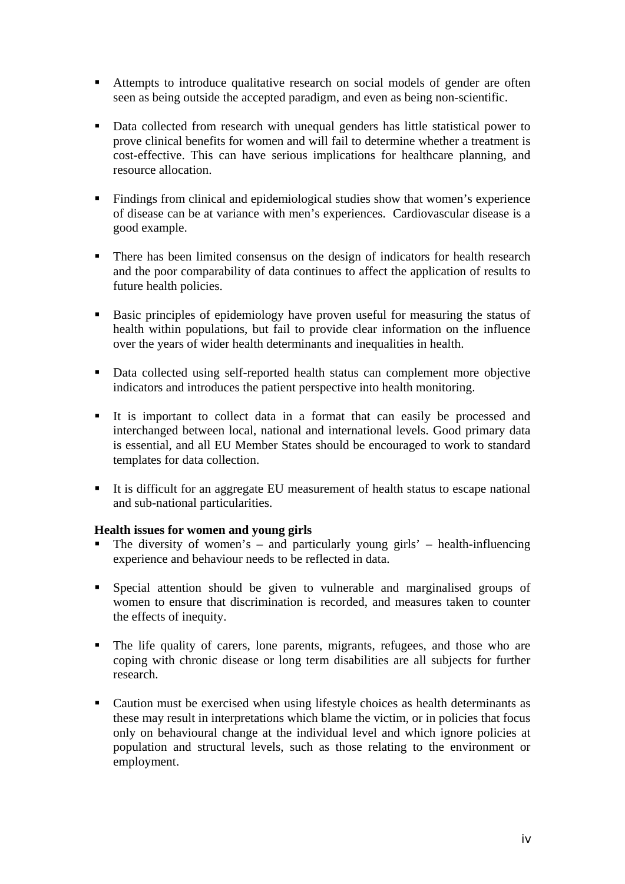- Attempts to introduce qualitative research on social models of gender are often seen as being outside the accepted paradigm, and even as being non-scientific.
- Data collected from research with unequal genders has little statistical power to prove clinical benefits for women and will fail to determine whether a treatment is cost-effective. This can have serious implications for healthcare planning, and resource allocation.
- Findings from clinical and epidemiological studies show that women's experience of disease can be at variance with men's experiences. Cardiovascular disease is a good example.
- **There has been limited consensus on the design of indicators for health research** and the poor comparability of data continues to affect the application of results to future health policies.
- Basic principles of epidemiology have proven useful for measuring the status of health within populations, but fail to provide clear information on the influence over the years of wider health determinants and inequalities in health.
- Data collected using self-reported health status can complement more objective indicators and introduces the patient perspective into health monitoring.
- It is important to collect data in a format that can easily be processed and interchanged between local, national and international levels. Good primary data is essential, and all EU Member States should be encouraged to work to standard templates for data collection.
- It is difficult for an aggregate EU measurement of health status to escape national and sub-national particularities.

# **Health issues for women and young girls**

- The diversity of women's and particularly young girls' health-influencing experience and behaviour needs to be reflected in data.
- Special attention should be given to vulnerable and marginalised groups of women to ensure that discrimination is recorded, and measures taken to counter the effects of inequity.
- The life quality of carers, lone parents, migrants, refugees, and those who are coping with chronic disease or long term disabilities are all subjects for further research.
- Caution must be exercised when using lifestyle choices as health determinants as these may result in interpretations which blame the victim, or in policies that focus only on behavioural change at the individual level and which ignore policies at population and structural levels, such as those relating to the environment or employment.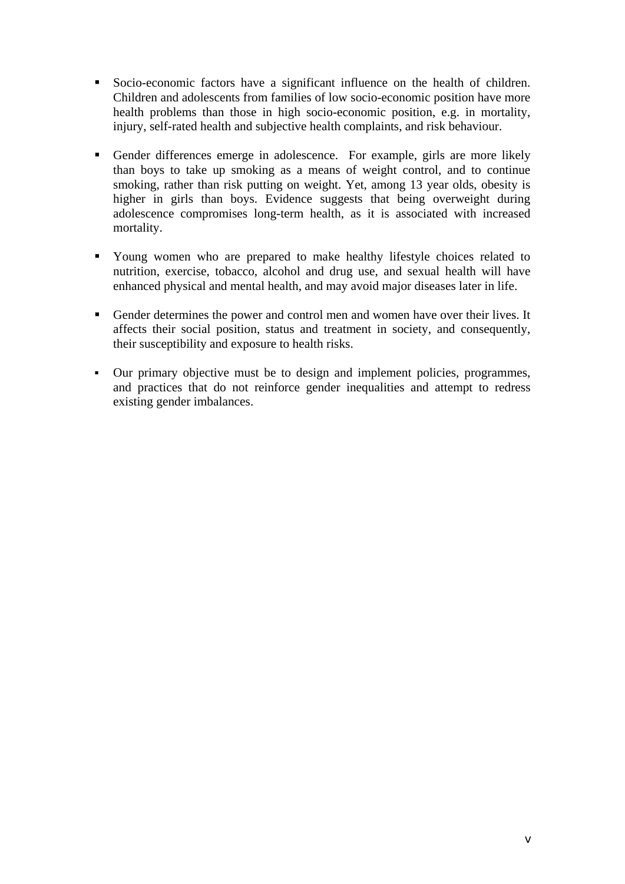- Socio-economic factors have a significant influence on the health of children. Children and adolescents from families of low socio-economic position have more health problems than those in high socio-economic position, e.g. in mortality, injury, self-rated health and subjective health complaints, and risk behaviour.
- Gender differences emerge in adolescence. For example, girls are more likely than boys to take up smoking as a means of weight control, and to continue smoking, rather than risk putting on weight. Yet, among 13 year olds, obesity is higher in girls than boys. Evidence suggests that being overweight during adolescence compromises long-term health, as it is associated with increased mortality.
- Young women who are prepared to make healthy lifestyle choices related to nutrition, exercise, tobacco, alcohol and drug use, and sexual health will have enhanced physical and mental health, and may avoid major diseases later in life.
- Gender determines the power and control men and women have over their lives. It affects their social position, status and treatment in society, and consequently, their susceptibility and exposure to health risks.
- Our primary objective must be to design and implement policies, programmes, and practices that do not reinforce gender inequalities and attempt to redress existing gender imbalances.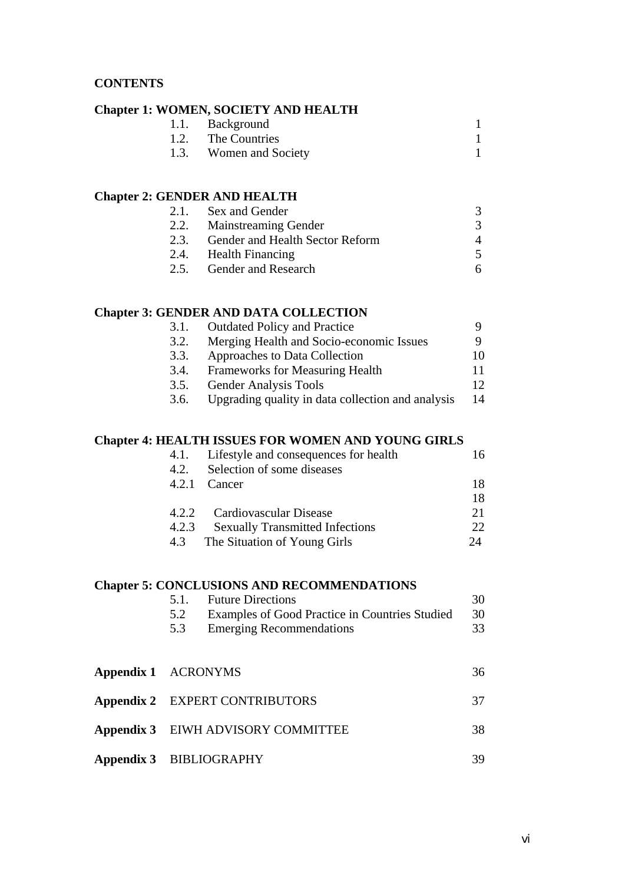#### **CONTENTS**

#### **Chapter 1: WOMEN, SOCIETY AND HEALTH**

| 1.1. Background        |  |
|------------------------|--|
| 1.2. The Countries     |  |
| 1.3. Women and Society |  |

#### **Chapter 2: GENDER AND HEALTH**

| 2.1. Sex and Gender                  |           |
|--------------------------------------|-----------|
| 2.2. Mainstreaming Gender            |           |
| 2.3. Gender and Health Sector Reform | $\Lambda$ |
| 2.4. Health Financing                |           |
| 2.5. Gender and Research             |           |

#### **Chapter 3: GENDER AND DATA COLLECTION**

| 3.1. | <b>Outdated Policy and Practice</b>               |    |
|------|---------------------------------------------------|----|
| 3.2. | Merging Health and Socio-economic Issues          |    |
| 3.3. | Approaches to Data Collection                     | 10 |
| 3.4. | <b>Frameworks for Measuring Health</b>            | 11 |
| 3.5. | <b>Gender Analysis Tools</b>                      | 12 |
| 3.6. | Upgrading quality in data collection and analysis | 14 |

#### **Chapter 4: HEALTH ISSUES FOR WOMEN AND YOUNG GIRLS**

|       | 4.1. Lifestyle and consequences for health | 16           |
|-------|--------------------------------------------|--------------|
| 4.2.  | Selection of some diseases                 |              |
|       | 4.2.1 Cancer                               | 18           |
|       |                                            | 18           |
|       | 4.2.2 Cardiovascular Disease               | 21           |
| 4.2.3 | <b>Sexually Transmitted Infections</b>     | $22^{\circ}$ |
|       | 4.3 The Situation of Young Girls           | $2\pi$       |

# **Chapter 5: CONCLUSIONS AND RECOMMENDATIONS**

|                     |     | 5.1. Future Directions                         | 30 |
|---------------------|-----|------------------------------------------------|----|
|                     | 5.2 | Examples of Good Practice in Countries Studied | 30 |
|                     | 5.3 | <b>Emerging Recommendations</b>                | 33 |
|                     |     |                                                |    |
|                     |     |                                                |    |
| Appendix 1 ACRONYMS |     |                                                | 36 |

| Appendix 2 EXPERT CONTRIBUTORS     | 37  |
|------------------------------------|-----|
| Appendix 3 EIWH ADVISORY COMMITTEE | 38. |
| Appendix 3 BIBLIOGRAPHY            | 39  |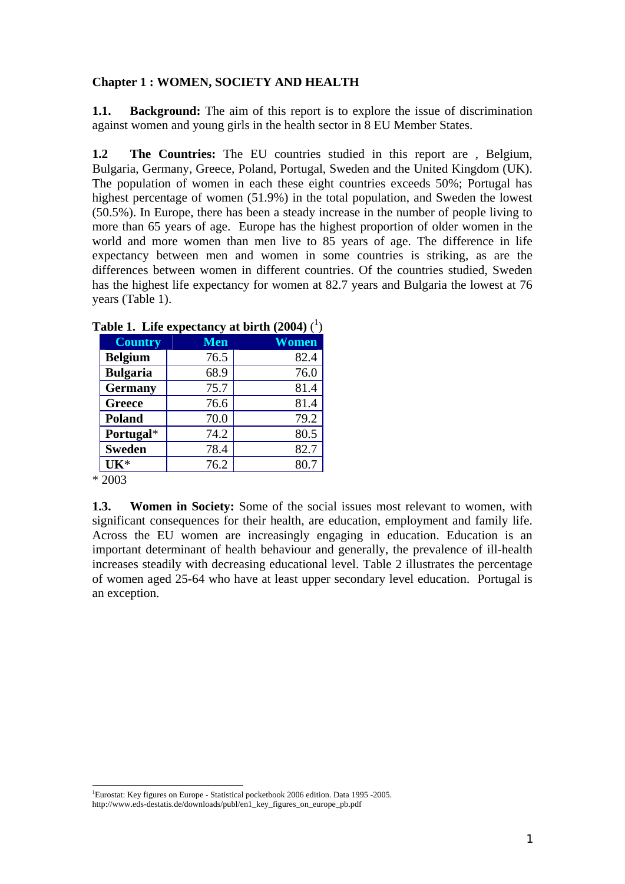#### **Chapter 1 : WOMEN, SOCIETY AND HEALTH**

**1.1. Background:** The aim of this report is to explore the issue of discrimination against women and young girls in the health sector in 8 EU Member States.

**1.2 The Countries:** The EU countries studied in this report are , Belgium, Bulgaria, Germany, Greece, Poland, Portugal, Sweden and the United Kingdom (UK). The population of women in each these eight countries exceeds 50%; Portugal has highest percentage of women (51.9%) in the total population, and Sweden the lowest (50.5%). In Europe, there has been a steady increase in the number of people living to more than 65 years of age. Europe has the highest proportion of older women in the world and more women than men live to 85 years of age. The difference in life expectancy between men and women in some countries is striking, as are the differences between women in different countries. Of the countries studied, Sweden has the highest life expectancy for women at 82.7 years and Bulgaria the lowest at 76 years (Table 1).

| <b>Country</b>  | <b>Men</b> | Women |  |  |
|-----------------|------------|-------|--|--|
| <b>Belgium</b>  | 76.5       | 82.4  |  |  |
| <b>Bulgaria</b> | 68.9       | 76.0  |  |  |
| <b>Germany</b>  | 75.7       | 81.4  |  |  |
| <b>Greece</b>   | 76.6       | 81.4  |  |  |
| Poland          | 70.0       | 79.2  |  |  |
| Portugal*       | 74.2       | 80.5  |  |  |
| <b>Sweden</b>   | 78.4       | 82.7  |  |  |
| $UK*$           | 76.2       | 80.7  |  |  |

| Table 1. Life expectancy at birth (2004) $(^1)$ |  |  |  |  |
|-------------------------------------------------|--|--|--|--|
|-------------------------------------------------|--|--|--|--|

 $*\overline{2003}$ 

**1.3. Women in Society:** Some of the social issues most relevant to women, with significant consequences for their health, are education, employment and family life. Across the EU women are increasingly engaging in education. Education is an important determinant of health behaviour and generally, the prevalence of ill-health increases steadily with decreasing educational level. Table 2 illustrates the percentage of women aged 25-64 who have at least upper secondary level education. Portugal is an exception.

 1 Eurostat: Key figures on Europe - Statistical pocketbook 2006 edition. Data 1995 -2005. http://www.eds-destatis.de/downloads/publ/en1\_key\_figures\_on\_europe\_pb.pdf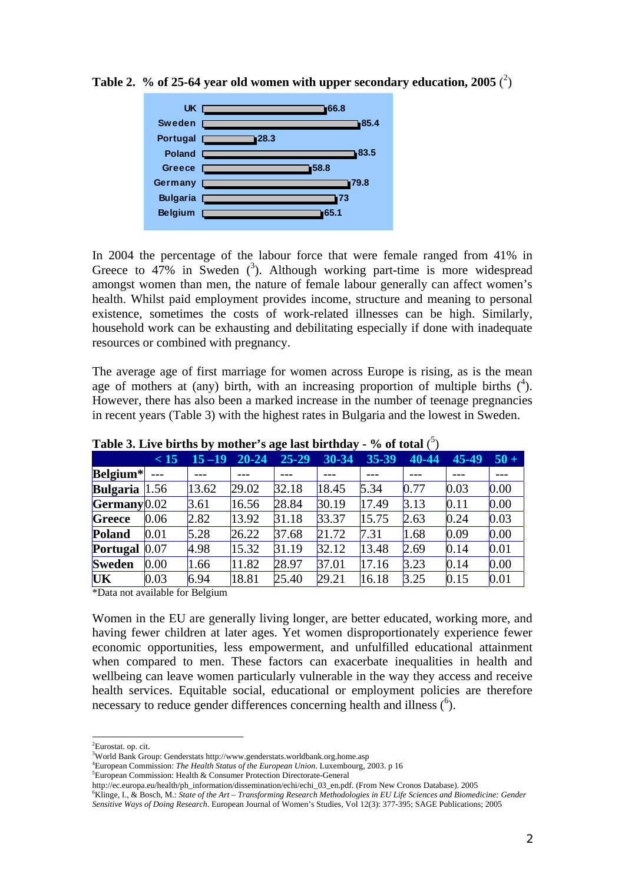

Table 2.  $%$  of 25-64 year old women with upper secondary education, 2005  $(^2)$ 

In 2004 the percentage of the labour force that were female ranged from 41% in Greece to  $47\%$  in Sweden (<sup>3</sup>). Although working part-time is more widespread amongst women than men, the nature of female labour generally can affect women's health. Whilst paid employment provides income, structure and meaning to personal existence, sometimes the costs of work-related illnesses can be high. Similarly, household work can be exhausting and debilitating especially if done with inadequate resources or combined with pregnancy.

The average age of first marriage for women across Europe is rising, as is the mean age of mothers at (any) birth, with an increasing proportion of multiple births  $(4)$ . However, there has also been a marked increase in the number of teenage pregnancies in recent years (Table 3) with the highest rates in Bulgaria and the lowest in Sweden.

| Twore of $\Delta x$ , c will be get in the same $\Delta x$ and $\Delta x$ and $\Delta y$ |      |           |           |           |       |       |       |       |        |
|------------------------------------------------------------------------------------------|------|-----------|-----------|-----------|-------|-------|-------|-------|--------|
|                                                                                          | < 15 | $15 - 19$ | $20 - 24$ | $25 - 29$ | 30-34 | 35-39 | 40-44 | 45-49 | $50 +$ |
| Belgium*                                                                                 |      |           |           |           |       |       |       |       |        |
| <b>Bulgaria</b> $ 1.56$                                                                  |      | 13.62     | 29.02     | 32.18     | 18.45 | 5.34  | 0.77  | 0.03  | 0.00   |
| Germany 0.02                                                                             |      | 3.61      | 16.56     | 28.84     | 30.19 | 17.49 | 3.13  | 0.11  | 0.00   |
| <b>Greece</b>                                                                            | 0.06 | 2.82      | 13.92     | 31.18     | 33.37 | 15.75 | 2.63  | 0.24  | 0.03   |
| <b>Poland</b>                                                                            | 0.01 | 5.28      | 26.22     | 37.68     | 21.72 | 7.31  | 1.68  | 0.09  | 0.00   |
| Portugal $ 0.07 $                                                                        |      | 4.98      | 15.32     | 31.19     | 32.12 | 13.48 | 2.69  | 0.14  | 0.01   |
| <b>Sweden</b>                                                                            | 0.00 | 1.66      | 11.82     | 28.97     | 37.01 | 17.16 | 3.23  | 0.14  | 0.00   |
| UK                                                                                       | 0.03 | 6.94      | 18.81     | 25.40     | 29.21 | 16.18 | 3.25  | 0.15  | 0.01   |

**Table 3. Live births by mother's age last birthday - % of total** ( 5 )

\*Data not available for Belgium

Women in the EU are generally living longer, are better educated, working more, and having fewer children at later ages. Yet women disproportionately experience fewer economic opportunities, less empowerment, and unfulfilled educational attainment when compared to men. These factors can exacerbate inequalities in health and wellbeing can leave women particularly vulnerable in the way they access and receive health services. Equitable social, educational or employment policies are therefore necessary to reduce gender differences concerning health and illness  $(6)$ .

European Commission: Health & Consumer Protection Directorate-General

 $\overline{a}$ <sup>2</sup>Eurostat. op. cit.

<sup>&</sup>lt;sup>3</sup>World Bank Group: Genderstats http://www.genderstats.worldbank.org.home.asp<br><sup>4</sup>European Commission: The Haglib Status of the European Union Luxembourg

European Commission: *The Health Status of the European Union*. Luxembourg, 2003. p 16 5

http://ec.europa.eu/health/ph\_information/dissemination/echi/echi\_03\_en.pdf. (From New Cronos Database). 2005 6

<sup>&</sup>lt;sup>6</sup>Klinge, I., & Bosch, M.: *State of the Art – Transforming Research Methodologies in EU Life Sciences and Biomedicine: Gender Sensitive Ways of Doing Research*. European Journal of Women's Studies, Vol 12(3): 377-395; SAGE Publications; 2005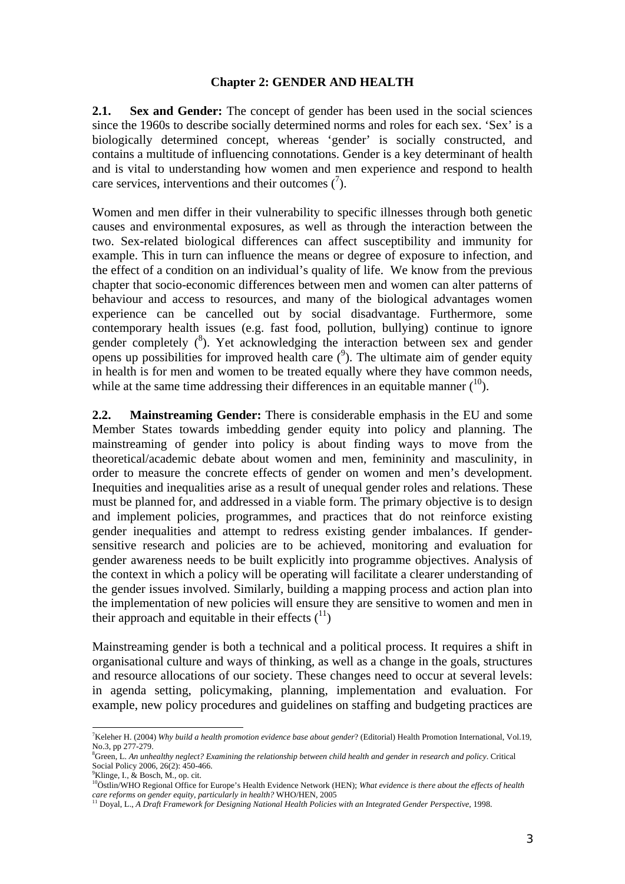#### **Chapter 2: GENDER AND HEALTH**

**2.1. Sex and Gender:** The concept of gender has been used in the social sciences since the 1960s to describe socially determined norms and roles for each sex. 'Sex' is a biologically determined concept, whereas 'gender' is socially constructed, and contains a multitude of influencing connotations. Gender is a key determinant of health and is vital to understanding how women and men experience and respond to health care services, interventions and their outcomes  $(\bar{ }')$ .

Women and men differ in their vulnerability to specific illnesses through both genetic causes and environmental exposures, as well as through the interaction between the two. Sex-related biological differences can affect susceptibility and immunity for example. This in turn can influence the means or degree of exposure to infection, and the effect of a condition on an individual's quality of life. We know from the previous chapter that socio-economic differences between men and women can alter patterns of behaviour and access to resources, and many of the biological advantages women experience can be cancelled out by social disadvantage. Furthermore, some contemporary health issues (e.g. fast food, pollution, bullying) continue to ignore gender completely  $(^8)$ . Yet acknowledging the interaction between sex and gender opens up possibilities for improved health care  $(9)$ . The ultimate aim of gender equity in health is for men and women to be treated equally where they have common needs, while at the same time addressing their differences in an equitable manner  $(10)$ .

**2.2. Mainstreaming Gender:** There is considerable emphasis in the EU and some Member States towards imbedding gender equity into policy and planning. The mainstreaming of gender into policy is about finding ways to move from the theoretical/academic debate about women and men, femininity and masculinity, in order to measure the concrete effects of gender on women and men's development. Inequities and inequalities arise as a result of unequal gender roles and relations. These must be planned for, and addressed in a viable form. The primary objective is to design and implement policies, programmes, and practices that do not reinforce existing gender inequalities and attempt to redress existing gender imbalances. If gendersensitive research and policies are to be achieved, monitoring and evaluation for gender awareness needs to be built explicitly into programme objectives. Analysis of the context in which a policy will be operating will facilitate a clearer understanding of the gender issues involved. Similarly, building a mapping process and action plan into the implementation of new policies will ensure they are sensitive to women and men in their approach and equitable in their effects  $(1)$ 

Mainstreaming gender is both a technical and a political process. It requires a shift in organisational culture and ways of thinking, as well as a change in the goals, structures and resource allocations of our society. These changes need to occur at several levels: in agenda setting, policymaking, planning, implementation and evaluation. For example, new policy procedures and guidelines on staffing and budgeting practices are

 $\overline{a}$ 

<sup>7</sup> Keleher H. (2004) *Why build a health promotion evidence base about gender*? (Editorial) Health Promotion International, Vol.19, No.3, pp 277-279.

<sup>8</sup> Green, L. *An unhealthy neglect? Examining the relationship between child health and gender in research and policy*. Critical Social Policy 2006, 26(2): 450-466.

 ${}^{9}$ Klinge, I., & Bosch, M., op. cit.

<sup>&</sup>lt;sup>10</sup>Östlin/WHO Regional Office for Europe's Health Evidence Network (HEN); What evidence is there about the effects of health *care reforms on gender equity, particularly in health?* WHO/HEN, 2005 11 Doyal, L., *A Draft Framework for Designing National Health Policies with an Integrated Gender Perspective*, 1998.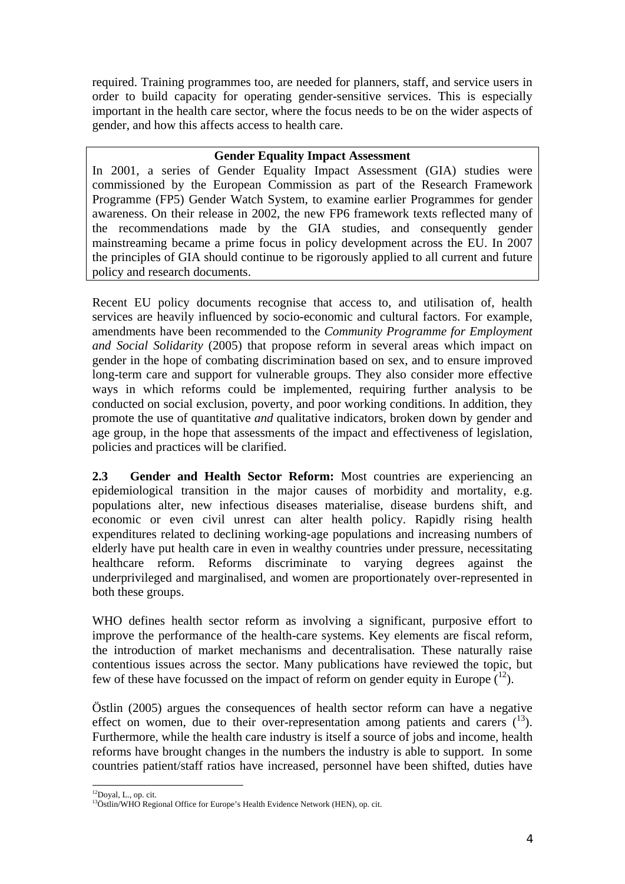required. Training programmes too, are needed for planners, staff, and service users in order to build capacity for operating gender-sensitive services. This is especially important in the health care sector, where the focus needs to be on the wider aspects of gender, and how this affects access to health care.

# **Gender Equality Impact Assessment**

In 2001, a series of Gender Equality Impact Assessment (GIA) studies were commissioned by the European Commission as part of the Research Framework Programme (FP5) Gender Watch System, to examine earlier Programmes for gender awareness. On their release in 2002, the new FP6 framework texts reflected many of the recommendations made by the GIA studies, and consequently gender mainstreaming became a prime focus in policy development across the EU. In 2007 the principles of GIA should continue to be rigorously applied to all current and future policy and research documents.

Recent EU policy documents recognise that access to, and utilisation of, health services are heavily influenced by socio-economic and cultural factors. For example, amendments have been recommended to the *Community Programme for Employment and Social Solidarity* (2005) that propose reform in several areas which impact on gender in the hope of combating discrimination based on sex, and to ensure improved long-term care and support for vulnerable groups. They also consider more effective ways in which reforms could be implemented, requiring further analysis to be conducted on social exclusion, poverty, and poor working conditions. In addition, they promote the use of quantitative *and* qualitative indicators, broken down by gender and age group, in the hope that assessments of the impact and effectiveness of legislation, policies and practices will be clarified.

**2.3 Gender and Health Sector Reform:** Most countries are experiencing an epidemiological transition in the major causes of morbidity and mortality, e.g. populations alter, new infectious diseases materialise, disease burdens shift, and economic or even civil unrest can alter health policy. Rapidly rising health expenditures related to declining working-age populations and increasing numbers of elderly have put health care in even in wealthy countries under pressure, necessitating healthcare reform. Reforms discriminate to varying degrees against the underprivileged and marginalised, and women are proportionately over-represented in both these groups.

WHO defines health sector reform as involving a significant, purposive effort to improve the performance of the health-care systems. Key elements are fiscal reform, the introduction of market mechanisms and decentralisation. These naturally raise contentious issues across the sector. Many publications have reviewed the topic, but few of these have focussed on the impact of reform on gender equity in Europe  $(1^2)$ .

Östlin (2005) argues the consequences of health sector reform can have a negative effect on women, due to their over-representation among patients and carers  $\binom{13}{2}$ . Furthermore, while the health care industry is itself a source of jobs and income, health reforms have brought changes in the numbers the industry is able to support. In some countries patient/staff ratios have increased, personnel have been shifted, duties have

 $\overline{a}$ <sup>12</sup>Doyal, L., op. cit.

<sup>&</sup>lt;sup>13</sup>Östlin/WHO Regional Office for Europe's Health Evidence Network (HEN), op. cit.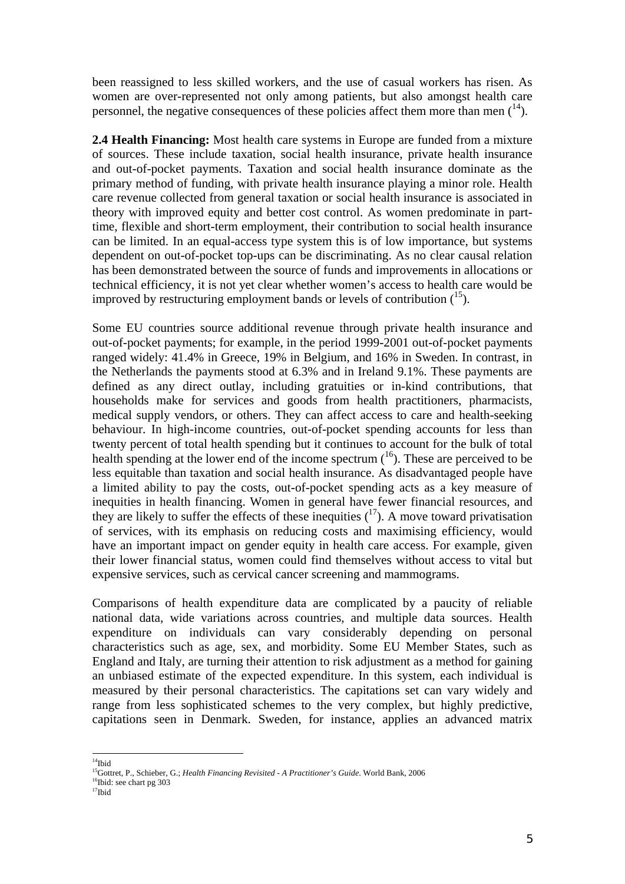been reassigned to less skilled workers, and the use of casual workers has risen. As women are over-represented not only among patients, but also amongst health care personnel, the negative consequences of these policies affect them more than men  $(14)$ .

**2.4 Health Financing:** Most health care systems in Europe are funded from a mixture of sources. These include taxation, social health insurance, private health insurance and out-of-pocket payments. Taxation and social health insurance dominate as the primary method of funding, with private health insurance playing a minor role. Health care revenue collected from general taxation or social health insurance is associated in theory with improved equity and better cost control. As women predominate in parttime, flexible and short-term employment, their contribution to social health insurance can be limited. In an equal-access type system this is of low importance, but systems dependent on out-of-pocket top-ups can be discriminating. As no clear causal relation has been demonstrated between the source of funds and improvements in allocations or technical efficiency, it is not yet clear whether women's access to health care would be improved by restructuring employment bands or levels of contribution  $(1^5)$ .

Some EU countries source additional revenue through private health insurance and out-of-pocket payments; for example, in the period 1999-2001 out-of-pocket payments ranged widely: 41.4% in Greece, 19% in Belgium, and 16% in Sweden. In contrast, in the Netherlands the payments stood at 6.3% and in Ireland 9.1%. These payments are defined as any direct outlay, including gratuities or in-kind contributions, that households make for services and goods from health practitioners, pharmacists, medical supply vendors, or others. They can affect access to care and health-seeking behaviour. In high-income countries, out-of-pocket spending accounts for less than twenty percent of total health spending but it continues to account for the bulk of total health spending at the lower end of the income spectrum  $(16)$ . These are perceived to be less equitable than taxation and social health insurance. As disadvantaged people have a limited ability to pay the costs, out-of-pocket spending acts as a key measure of inequities in health financing. Women in general have fewer financial resources, and they are likely to suffer the effects of these inequities  $(1^7)$ . A move toward privatisation of services, with its emphasis on reducing costs and maximising efficiency, would have an important impact on gender equity in health care access. For example, given their lower financial status, women could find themselves without access to vital but expensive services, such as cervical cancer screening and mammograms.

Comparisons of health expenditure data are complicated by a paucity of reliable national data, wide variations across countries, and multiple data sources. Health expenditure on individuals can vary considerably depending on personal characteristics such as age, sex, and morbidity. Some EU Member States, such as England and Italy, are turning their attention to risk adjustment as a method for gaining an unbiased estimate of the expected expenditure. In this system, each individual is measured by their personal characteristics. The capitations set can vary widely and range from less sophisticated schemes to the very complex, but highly predictive, capitations seen in Denmark. Sweden, for instance, applies an advanced matrix

 $\overline{a}$ <sup>14</sup>Ibid

<sup>&</sup>lt;sup>15</sup>Gottret, P., Schieber, G.; *Health Financing Revisited - A Practitioner's Guide*. World Bank, 2006 <sup>16</sup>Ibid: see chart pg 303

 $17$ Ibid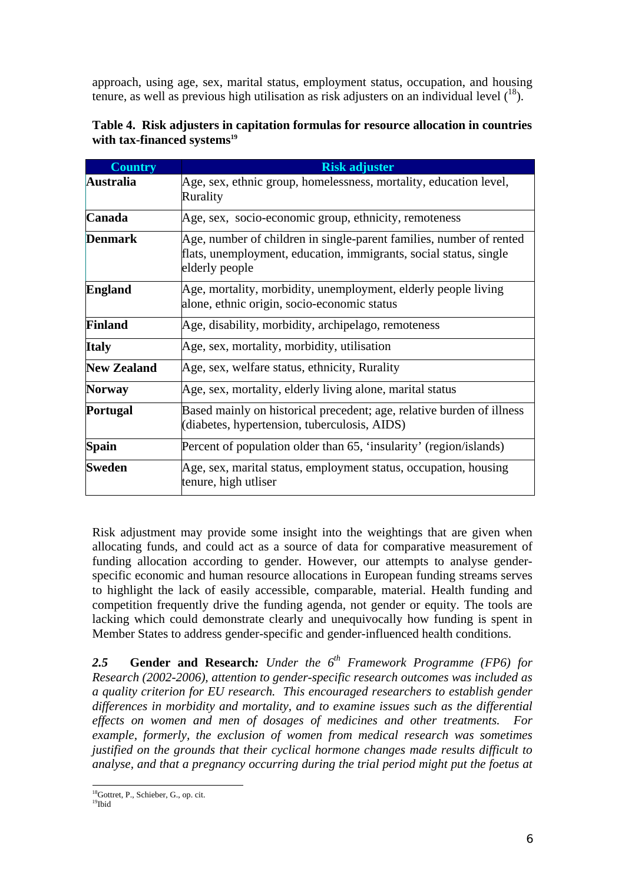approach, using age, sex, marital status, employment status, occupation, and housing tenure, as well as previous high utilisation as risk adjusters on an individual level  $(^{18})$ .

| <b>Country</b>     | <b>Risk adjuster</b>                                                                                                                                       |  |  |
|--------------------|------------------------------------------------------------------------------------------------------------------------------------------------------------|--|--|
| <b>Australia</b>   | Age, sex, ethnic group, homelessness, mortality, education level,<br>Rurality                                                                              |  |  |
| Canada             | Age, sex, socio-economic group, ethnicity, remoteness                                                                                                      |  |  |
| <b>Denmark</b>     | Age, number of children in single-parent families, number of rented<br>flats, unemployment, education, immigrants, social status, single<br>elderly people |  |  |
| <b>England</b>     | Age, mortality, morbidity, unemployment, elderly people living<br>alone, ethnic origin, socio-economic status                                              |  |  |
| <b>Finland</b>     | Age, disability, morbidity, archipelago, remoteness                                                                                                        |  |  |
| <b>Italy</b>       | Age, sex, mortality, morbidity, utilisation                                                                                                                |  |  |
| <b>New Zealand</b> | Age, sex, welfare status, ethnicity, Rurality                                                                                                              |  |  |
| <b>Norway</b>      | Age, sex, mortality, elderly living alone, marital status                                                                                                  |  |  |
| <b>Portugal</b>    | Based mainly on historical precedent; age, relative burden of illness<br>(diabetes, hypertension, tuberculosis, AIDS)                                      |  |  |
| <b>Spain</b>       | Percent of population older than 65, 'insularity' (region/islands)                                                                                         |  |  |
| <b>Sweden</b>      | Age, sex, marital status, employment status, occupation, housing<br>tenure, high utliser                                                                   |  |  |

**Table 4. Risk adjusters in capitation formulas for resource allocation in countries**  with tax-financed systems<sup>19</sup>

Risk adjustment may provide some insight into the weightings that are given when allocating funds, and could act as a source of data for comparative measurement of funding allocation according to gender. However, our attempts to analyse genderspecific economic and human resource allocations in European funding streams serves to highlight the lack of easily accessible, comparable, material. Health funding and competition frequently drive the funding agenda, not gender or equity. The tools are lacking which could demonstrate clearly and unequivocally how funding is spent in Member States to address gender-specific and gender-influenced health conditions.

*2.5* **Gender and Research***: Under the 6th Framework Programme (FP6) for Research (2002-2006), attention to gender-specific research outcomes was included as a quality criterion for EU research. This encouraged researchers to establish gender differences in morbidity and mortality, and to examine issues such as the differential effects on women and men of dosages of medicines and other treatments. For example, formerly, the exclusion of women from medical research was sometimes justified on the grounds that their cyclical hormone changes made results difficult to analyse, and that a pregnancy occurring during the trial period might put the foetus at* 

 $\overline{a}$ 18Gottret, P., Schieber, G., op. cit.

<sup>19</sup>Ibid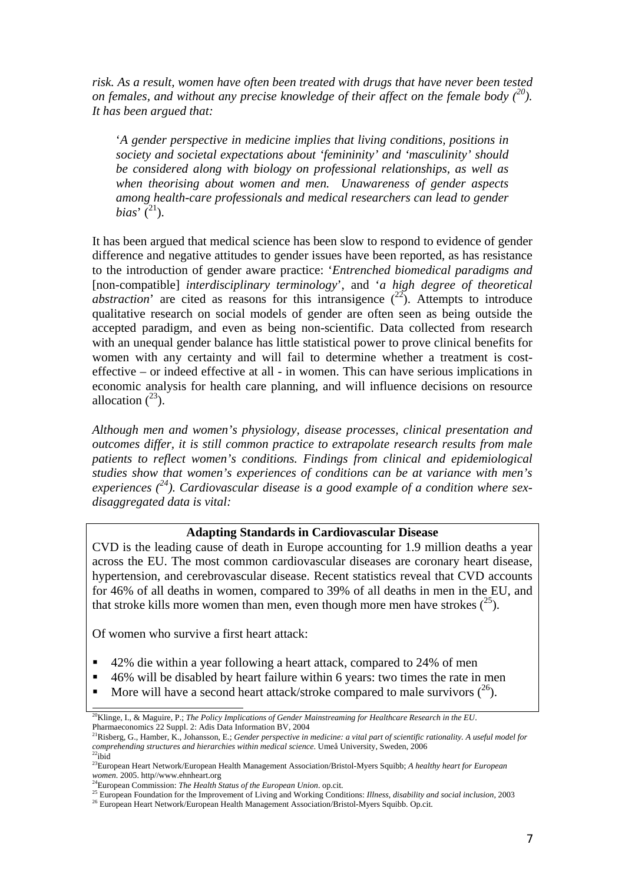*risk. As a result, women have often been treated with drugs that have never been tested on females, and without any precise knowledge of their affect on the female body (20). It has been argued that:* 

'*A gender perspective in medicine implies that living conditions, positions in society and societal expectations about 'femininity' and 'masculinity' should be considered along with biology on professional relationships, as well as when theorising about women and men. Unawareness of gender aspects among health-care professionals and medical researchers can lead to gender bias*'  $(^{21})$ .

It has been argued that medical science has been slow to respond to evidence of gender difference and negative attitudes to gender issues have been reported, as has resistance to the introduction of gender aware practice: '*Entrenched biomedical paradigms and*  [non-compatible] *interdisciplinary terminology*', and '*a high degree of theoretical abstraction*' are cited as reasons for this intransigence  $(^{22})$ . Attempts to introduce qualitative research on social models of gender are often seen as being outside the accepted paradigm, and even as being non-scientific. Data collected from research with an unequal gender balance has little statistical power to prove clinical benefits for women with any certainty and will fail to determine whether a treatment is costeffective – or indeed effective at all - in women. This can have serious implications in economic analysis for health care planning, and will influence decisions on resource allocation  $(^{23})$ .

*Although men and women's physiology, disease processes, clinical presentation and outcomes differ, it is still common practice to extrapolate research results from male patients to reflect women's conditions. Findings from clinical and epidemiological studies show that women's experiences of conditions can be at variance with men's experiences (24). Cardiovascular disease is a good example of a condition where sexdisaggregated data is vital:* 

#### **Adapting Standards in Cardiovascular Disease**

CVD is the leading cause of death in Europe accounting for 1.9 million deaths a year across the EU. The most common cardiovascular diseases are coronary heart disease, hypertension, and cerebrovascular disease. Recent statistics reveal that CVD accounts for 46% of all deaths in women, compared to 39% of all deaths in men in the EU, and that stroke kills more women than men, even though more men have strokes  $(^{25})$ .

Of women who survive a first heart attack:

 $\overline{\phantom{0}}$ 

- 42% die within a year following a heart attack, compared to 24% of men
- 46% will be disabled by heart failure within 6 years: two times the rate in men
- More will have a second heart attack/stroke compared to male survivors  $(2^6)$ .

<sup>20</sup>Klinge, I., & Maguire, P.; *The Policy Implications of Gender Mainstreaming for Healthcare Research in the EU*. Pharmaeconomics 22 Suppl. 2: Adis Data Information BV, 2004<br><sup>21</sup>Risberg, G., Hamber, K., Johansson, E.; *Gender perspective in medicine: a vital part of scientific rationality. A useful model for* 

*comprehending structures and hierarchies within medical science*. Umeå University, Sweden, 2006<sup>22</sup>ibid

<sup>23</sup>European Heart Network/European Health Management Association/Bristol-Myers Squibb; *A healthy heart for European women*. 2005. http//www.ehnheart.org 24European Commission: *The Health Status of the European Union*. op.cit.

<sup>&</sup>lt;sup>25</sup> European Foundation for the Improvement of Living and Working Conditions: *Illness, disability and social inclusion*, 2003<br><sup>26</sup> European Heart Network/European Health Management Association/Bristol-Myers Squibb. Op.ci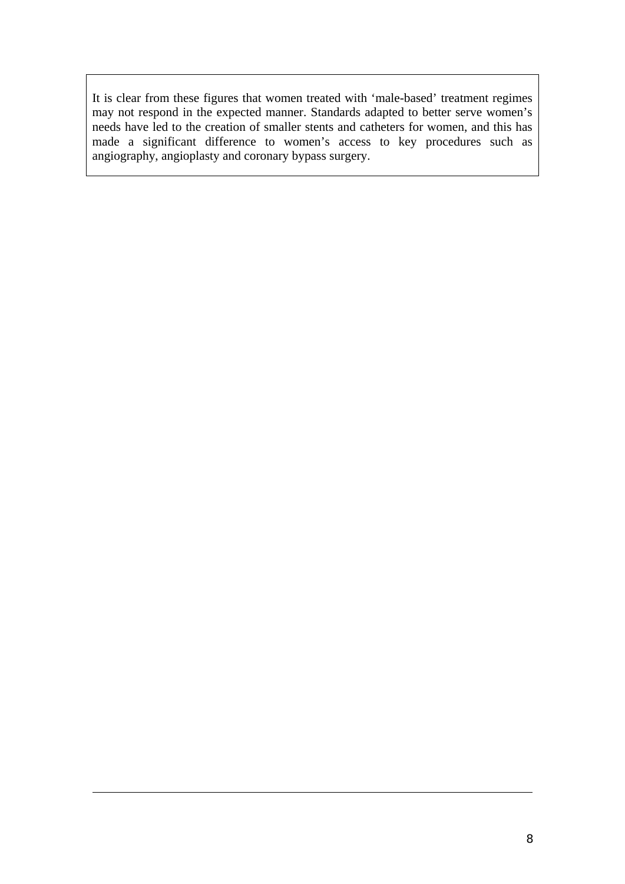It is clear from these figures that women treated with 'male-based' treatment regimes may not respond in the expected manner. Standards adapted to better serve women's needs have led to the creation of smaller stents and catheters for women, and this has made a significant difference to women's access to key procedures such as angiography, angioplasty and coronary bypass surgery.

 $\overline{a}$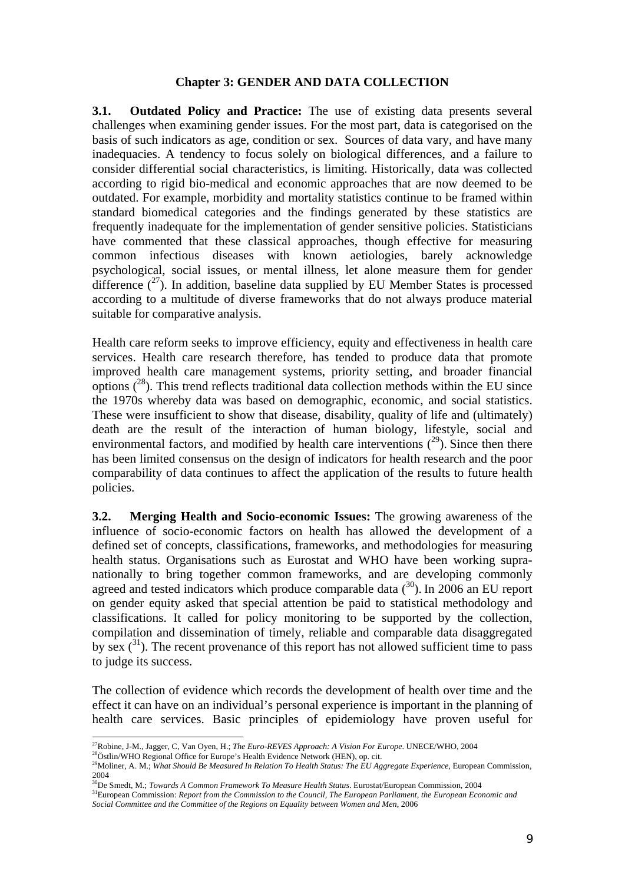#### **Chapter 3: GENDER AND DATA COLLECTION**

**3.1. Outdated Policy and Practice:** The use of existing data presents several challenges when examining gender issues. For the most part, data is categorised on the basis of such indicators as age, condition or sex. Sources of data vary, and have many inadequacies. A tendency to focus solely on biological differences, and a failure to consider differential social characteristics, is limiting. Historically, data was collected according to rigid bio-medical and economic approaches that are now deemed to be outdated. For example, morbidity and mortality statistics continue to be framed within standard biomedical categories and the findings generated by these statistics are frequently inadequate for the implementation of gender sensitive policies. Statisticians have commented that these classical approaches, though effective for measuring common infectious diseases with known aetiologies, barely acknowledge psychological, social issues, or mental illness, let alone measure them for gender difference  $(27)$ . In addition, baseline data supplied by EU Member States is processed according to a multitude of diverse frameworks that do not always produce material suitable for comparative analysis.

Health care reform seeks to improve efficiency, equity and effectiveness in health care services. Health care research therefore, has tended to produce data that promote improved health care management systems, priority setting, and broader financial options  $(28)$ . This trend reflects traditional data collection methods within the EU since the 1970s whereby data was based on demographic, economic, and social statistics. These were insufficient to show that disease, disability, quality of life and (ultimately) death are the result of the interaction of human biology, lifestyle, social and environmental factors, and modified by health care interventions  $(2^9)$ . Since then there has been limited consensus on the design of indicators for health research and the poor comparability of data continues to affect the application of the results to future health policies.

**3.2. Merging Health and Socio-economic Issues:** The growing awareness of the influence of socio-economic factors on health has allowed the development of a defined set of concepts, classifications, frameworks, and methodologies for measuring health status. Organisations such as Eurostat and WHO have been working supranationally to bring together common frameworks, and are developing commonly agreed and tested indicators which produce comparable data  $(30)$ . In 2006 an EU report on gender equity asked that special attention be paid to statistical methodology and classifications. It called for policy monitoring to be supported by the collection, compilation and dissemination of timely, reliable and comparable data disaggregated by sex  $\binom{31}{2}$ . The recent provenance of this report has not allowed sufficient time to pass to judge its success.

The collection of evidence which records the development of health over time and the effect it can have on an individual's personal experience is important in the planning of health care services. Basic principles of epidemiology have proven useful for

<sup>&</sup>lt;sup>27</sup>Robine, J-M., Jagger, C, Van Oyen, H.; The Euro-REVES Approach: A Vision For Europe. UNECE/WHO, 2004

<sup>&</sup>lt;sup>28</sup>Östlin/WHO Regional Office for Europe's Health Evidence Network (HEN), op. cit.<br><sup>29</sup>Moliner, A. M.; What Should Be Measured In Relation To Health Status: The EU Aggregate Experience, European Commission, 2004

<sup>30</sup>De Smedt, M.; *Towards A Common Framework To Measure Health Status*. Eurostat/European Commission, 2004

<sup>&</sup>lt;sup>31</sup>European Commission: *Report from the Commission to the Council, The European Parliament, the European Economic and Social Committee and the Committee of the Regions on Equality between Women and Men*, 2006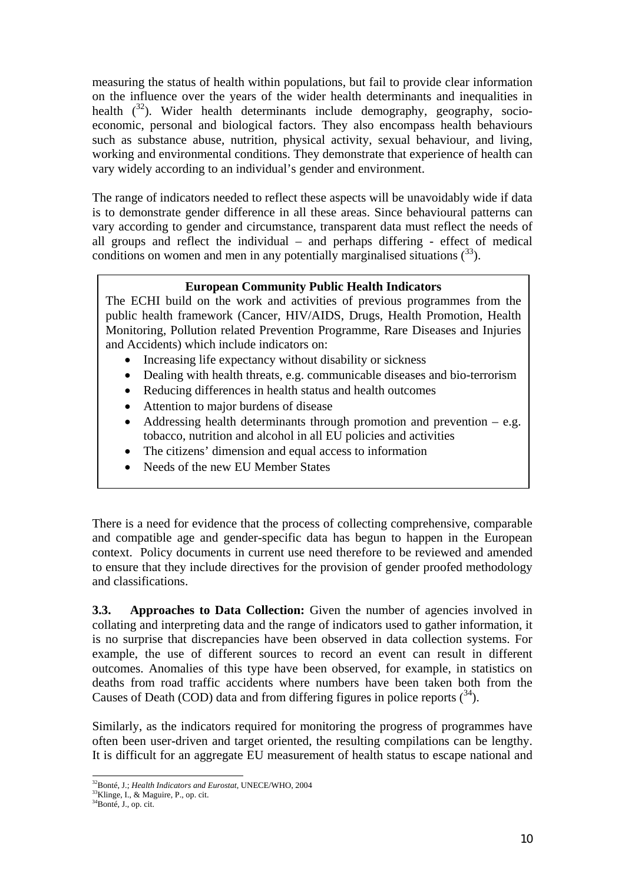measuring the status of health within populations, but fail to provide clear information on the influence over the years of the wider health determinants and inequalities in health  $(3^2)$ . Wider health determinants include demography, geography, socioeconomic, personal and biological factors. They also encompass health behaviours such as substance abuse, nutrition, physical activity, sexual behaviour, and living, working and environmental conditions. They demonstrate that experience of health can vary widely according to an individual's gender and environment.

The range of indicators needed to reflect these aspects will be unavoidably wide if data is to demonstrate gender difference in all these areas. Since behavioural patterns can vary according to gender and circumstance, transparent data must reflect the needs of all groups and reflect the individual – and perhaps differing - effect of medical conditions on women and men in any potentially marginalised situations  $(3^3)$ .

# **European Community Public Health Indicators**

The ECHI build on the work and activities of previous programmes from the public health framework (Cancer, HIV/AIDS, Drugs, Health Promotion, Health Monitoring, Pollution related Prevention Programme, Rare Diseases and Injuries and Accidents) which include indicators on:

- Increasing life expectancy without disability or sickness
- Dealing with health threats, e.g. communicable diseases and bio-terrorism
- Reducing differences in health status and health outcomes
- Attention to major burdens of disease
- Addressing health determinants through promotion and prevention  $-$  e.g. tobacco, nutrition and alcohol in all EU policies and activities
- The citizens' dimension and equal access to information
- Needs of the new EU Member States

There is a need for evidence that the process of collecting comprehensive, comparable and compatible age and gender-specific data has begun to happen in the European context. Policy documents in current use need therefore to be reviewed and amended to ensure that they include directives for the provision of gender proofed methodology and classifications.

**3.3. Approaches to Data Collection:** Given the number of agencies involved in collating and interpreting data and the range of indicators used to gather information, it is no surprise that discrepancies have been observed in data collection systems. For example, the use of different sources to record an event can result in different outcomes. Anomalies of this type have been observed, for example, in statistics on deaths from road traffic accidents where numbers have been taken both from the Causes of Death (COD) data and from differing figures in police reports  $(34)$ .

Similarly, as the indicators required for monitoring the progress of programmes have often been user-driven and target oriented, the resulting compilations can be lengthy. It is difficult for an aggregate EU measurement of health status to escape national and

l 32Bonté, J.; *Health Indicators and Eurostat*, UNECE/WHO, 2004 33Klinge, I., & Maguire, P., op. cit.

<sup>&</sup>lt;sup>34</sup>Bonté, J., op. cit.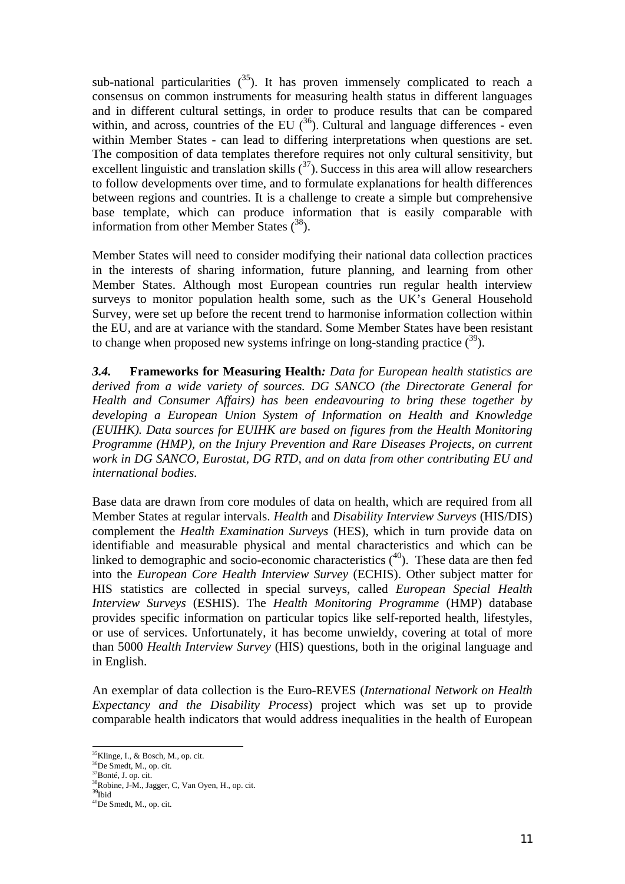sub-national particularities  $(35)$ . It has proven immensely complicated to reach a consensus on common instruments for measuring health status in different languages and in different cultural settings, in order to produce results that can be compared within, and across, countries of the EU  $(36)$ . Cultural and language differences - even within Member States - can lead to differing interpretations when questions are set. The composition of data templates therefore requires not only cultural sensitivity, but excellent linguistic and translation skills  $(37)$ . Success in this area will allow researchers to follow developments over time, and to formulate explanations for health differences between regions and countries. It is a challenge to create a simple but comprehensive base template, which can produce information that is easily comparable with information from other Member States  $(38)$ .

Member States will need to consider modifying their national data collection practices in the interests of sharing information, future planning, and learning from other Member States. Although most European countries run regular health interview surveys to monitor population health some, such as the UK's General Household Survey, were set up before the recent trend to harmonise information collection within the EU, and are at variance with the standard. Some Member States have been resistant to change when proposed new systems infringe on long-standing practice  $(3^9)$ .

*3.4.* **Frameworks for Measuring Health***: Data for European health statistics are derived from a wide variety of sources. DG SANCO (the Directorate General for Health and Consumer Affairs) has been endeavouring to bring these together by developing a European Union System of Information on Health and Knowledge (EUIHK). Data sources for EUIHK are based on figures from the Health Monitoring Programme (HMP), on the Injury Prevention and Rare Diseases Projects, on current work in DG SANCO, Eurostat, DG RTD, and on data from other contributing EU and international bodies.* 

Base data are drawn from core modules of data on health, which are required from all Member States at regular intervals. *Health* and *Disability Interview Surveys* (HIS/DIS) complement the *Health Examination Surveys* (HES), which in turn provide data on identifiable and measurable physical and mental characteristics and which can be linked to demographic and socio-economic characteristics  $(40)$ . These data are then fed into the *European Core Health Interview Survey* (ECHIS). Other subject matter for HIS statistics are collected in special surveys, called *European Special Health Interview Surveys* (ESHIS). The *Health Monitoring Programme* (HMP) database provides specific information on particular topics like self-reported health, lifestyles, or use of services. Unfortunately, it has become unwieldy, covering at total of more than 5000 *Health Interview Survey* (HIS) questions, both in the original language and in English.

An exemplar of data collection is the Euro-REVES (*International Network on Health Expectancy and the Disability Process*) project which was set up to provide comparable health indicators that would address inequalities in the health of European

 $\overline{a}$ 

 $35$ Klinge, I., & Bosch, M., op. cit.

<sup>&</sup>lt;sup>36</sup>De Smedt, M., op. cit.

<sup>37</sup>Bonté, J. op. cit.

<sup>38</sup>Robine, J-M., Jagger, C, Van Oyen, H., op. cit. <sup>39</sup>Ibid

<sup>40</sup>De Smedt, M., op. cit.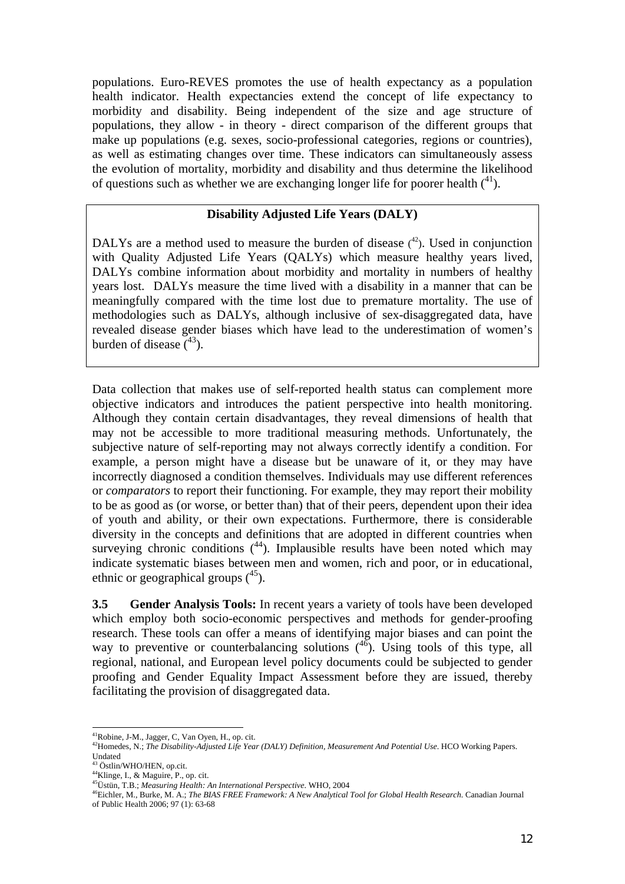populations. Euro-REVES promotes the use of health expectancy as a population health indicator. Health expectancies extend the concept of life expectancy to morbidity and disability. Being independent of the size and age structure of populations, they allow - in theory - direct comparison of the different groups that make up populations (e.g. sexes, socio-professional categories, regions or countries), as well as estimating changes over time. These indicators can simultaneously assess the evolution of mortality, morbidity and disability and thus determine the likelihood of questions such as whether we are exchanging longer life for poorer health  $(^{41})$ .

# **Disability Adjusted Life Years (DALY)**

DALYs are a method used to measure the burden of disease  $(42)$ . Used in conjunction with Quality Adjusted Life Years (QALYs) which measure healthy years lived, DALYs combine information about morbidity and mortality in numbers of healthy years lost. DALYs measure the time lived with a disability in a manner that can be meaningfully compared with the time lost due to premature mortality. The use of methodologies such as DALYs, although inclusive of sex-disaggregated data, have revealed disease gender biases which have lead to the underestimation of women's burden of disease  $(^{43})$ .

Data collection that makes use of self-reported health status can complement more objective indicators and introduces the patient perspective into health monitoring. Although they contain certain disadvantages, they reveal dimensions of health that may not be accessible to more traditional measuring methods. Unfortunately, the subjective nature of self-reporting may not always correctly identify a condition. For example, a person might have a disease but be unaware of it, or they may have incorrectly diagnosed a condition themselves. Individuals may use different references or *comparators* to report their functioning. For example, they may report their mobility to be as good as (or worse, or better than) that of their peers, dependent upon their idea of youth and ability, or their own expectations. Furthermore, there is considerable diversity in the concepts and definitions that are adopted in different countries when surveying chronic conditions  $(44)$ . Implausible results have been noted which may indicate systematic biases between men and women, rich and poor, or in educational, ethnic or geographical groups  $(^{45})$ .

**3.5 Gender Analysis Tools:** In recent years a variety of tools have been developed which employ both socio-economic perspectives and methods for gender-proofing research. These tools can offer a means of identifying major biases and can point the way to preventive or counterbalancing solutions  $(4\overline{6})$ . Using tools of this type, all regional, national, and European level policy documents could be subjected to gender proofing and Gender Equality Impact Assessment before they are issued, thereby facilitating the provision of disaggregated data.

 $\overline{a}$ 

 $<sup>41</sup>$ Robine, J-M., Jagger, C, Van Oyen, H., op. cit.</sup>

<sup>42</sup>Homedes, N.; *The Disability-Adjusted Life Year (DALY) Definition, Measurement And Potential Use*. HCO Working Papers. Undated

<sup>43</sup> Östlin/WHO/HEN, op.cit.

<sup>&</sup>lt;sup>44</sup>Klinge, I., & Maguire, P., op. cit.

<sup>45</sup>Üstün, T.B.; *Measuring Health: An International Perspective*. WHO, 2004

<sup>46</sup>Eichler, M., Burke, M. A.; *The BIAS FREE Framework: A New Analytical Tool for Global Health Research*. Canadian Journal of Public Health 2006; 97 (1): 63-68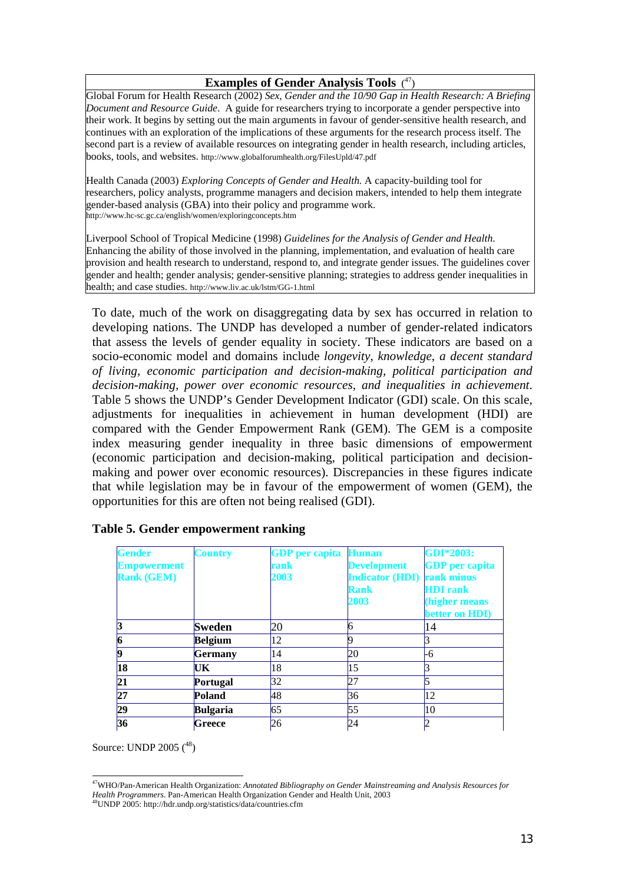#### **Examples of Gender Analysis Tools** (<sup>47</sup>)

Global Forum for Health Research (2002) *Sex, Gender and the 10/90 Gap in Health Research: A Briefing Document and Resource Guide*. A guide for researchers trying to incorporate a gender perspective into their work. It begins by setting out the main arguments in favour of gender-sensitive health research, and continues with an exploration of the implications of these arguments for the research process itself. The second part is a review of available resources on integrating gender in health research, including articles, books, tools, and websites. http://www.globalforumhealth.org/FilesUpld/47.pdf

Health Canada (2003) *Exploring Concepts of Gender and Health.* A capacity-building tool for researchers, policy analysts, programme managers and decision makers, intended to help them integrate gender-based analysis (GBA) into their policy and programme work. http://www.hc-sc.gc.ca/english/women/exploringconcepts.htm

Liverpool School of Tropical Medicine (1998) *Guidelines for the Analysis of Gender and Health*. Enhancing the ability of those involved in the planning, implementation, and evaluation of health care provision and health research to understand, respond to, and integrate gender issues. The guidelines cover gender and health; gender analysis; gender-sensitive planning; strategies to address gender inequalities in health; and case studies. http://www.liv.ac.uk/lstm/GG-1.html

To date, much of the work on disaggregating data by sex has occurred in relation to developing nations. The UNDP has developed a number of gender-related indicators that assess the levels of gender equality in society. These indicators are based on a socio-economic model and domains include *longevity, knowledge, a decent standard of living, economic participation and decision-making, political participation and decision-making, power over economic resources, and inequalities in achievement*. Table 5 shows the UNDP's Gender Development Indicator (GDI) scale. On this scale, adjustments for inequalities in achievement in human development (HDI) are compared with the Gender Empowerment Rank (GEM). The GEM is a composite index measuring gender inequality in three basic dimensions of empowerment (economic participation and decision-making, political participation and decisionmaking and power over economic resources). Discrepancies in these figures indicate that while legislation may be in favour of the empowerment of women (GEM), the opportunities for this are often not being realised (GDI).

| <b>Gender</b><br><b>Empowerment</b><br><b>Rank (GEM)</b> | <b>Country</b>  | <b>GDP</b> per capita<br>rank<br>2003 | <b>Human</b><br><b>Development</b><br><b>Indicator (HDI)</b><br><b>Rank</b> | <b>GDI*2003:</b><br><b>GDP</b> per capita<br>rank minus<br><b>HDI</b> rank |
|----------------------------------------------------------|-----------------|---------------------------------------|-----------------------------------------------------------------------------|----------------------------------------------------------------------------|
|                                                          |                 |                                       | 2003                                                                        | (higher means<br>better on HDI)                                            |
|                                                          | <b>Sweden</b>   | 20                                    |                                                                             | 14                                                                         |
|                                                          | <b>Belgium</b>  | 12                                    |                                                                             |                                                                            |
|                                                          | Germany         | 14                                    | 20                                                                          | -6                                                                         |
| 18                                                       | UK              | 18                                    | 15                                                                          | 3                                                                          |
| 21                                                       | Portugal        | 32                                    | 27                                                                          | 5                                                                          |
| 27                                                       | Poland          | 48                                    | 36                                                                          | 12                                                                         |
| 29                                                       | <b>Bulgaria</b> | 65                                    | 55                                                                          | 10                                                                         |
| 36                                                       | Greece          | 26                                    | 24                                                                          |                                                                            |

#### **Table 5. Gender empowerment ranking**

Source: UNDP 2005 (<sup>48</sup>)

l

<sup>47</sup>WHO/Pan-American Health Organization: *Annotated Bibliography on Gender Mainstreaming and Analysis Resources for Health Programmers*. Pan-American Health Organization Gender and Health Unit, 2003<sup>48</sup>UNDP 2005: http://hdr.undp.org/statistics/data/countries.cfm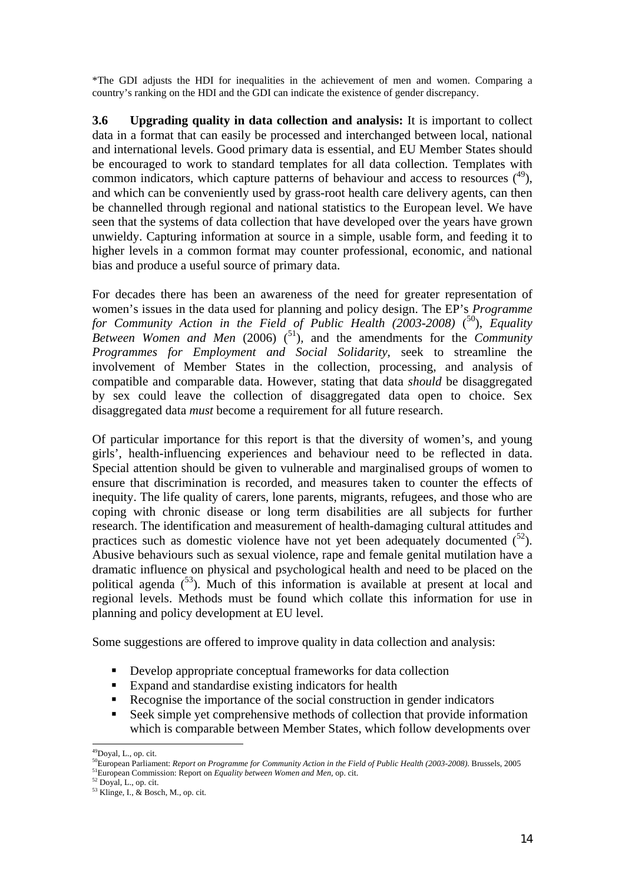\*The GDI adjusts the HDI for inequalities in the achievement of men and women. Comparing a country's ranking on the HDI and the GDI can indicate the existence of gender discrepancy.

**3.6 Upgrading quality in data collection and analysis:** It is important to collect data in a format that can easily be processed and interchanged between local, national and international levels. Good primary data is essential, and EU Member States should be encouraged to work to standard templates for all data collection. Templates with common indicators, which capture patterns of behaviour and access to resources  $(49)$ , and which can be conveniently used by grass-root health care delivery agents, can then be channelled through regional and national statistics to the European level. We have seen that the systems of data collection that have developed over the years have grown unwieldy. Capturing information at source in a simple, usable form, and feeding it to higher levels in a common format may counter professional, economic, and national bias and produce a useful source of primary data.

For decades there has been an awareness of the need for greater representation of women's issues in the data used for planning and policy design. The EP's *Programme*  for Community Action in the Field of Public Health (2003-2008) (<sup>50</sup>), Equality *Between Women and Men* (2006)  $\binom{51}{2}$ , and the amendments for the *Community Programmes for Employment and Social Solidarity*, seek to streamline the involvement of Member States in the collection, processing, and analysis of compatible and comparable data. However, stating that data *should* be disaggregated by sex could leave the collection of disaggregated data open to choice. Sex disaggregated data *must* become a requirement for all future research.

Of particular importance for this report is that the diversity of women's, and young girls', health-influencing experiences and behaviour need to be reflected in data. Special attention should be given to vulnerable and marginalised groups of women to ensure that discrimination is recorded, and measures taken to counter the effects of inequity. The life quality of carers, lone parents, migrants, refugees, and those who are coping with chronic disease or long term disabilities are all subjects for further research. The identification and measurement of health-damaging cultural attitudes and practices such as domestic violence have not yet been adequately documented  $(5^2)$ . Abusive behaviours such as sexual violence, rape and female genital mutilation have a dramatic influence on physical and psychological health and need to be placed on the political agenda  $(53)$ . Much of this information is available at present at local and regional levels. Methods must be found which collate this information for use in planning and policy development at EU level.

Some suggestions are offered to improve quality in data collection and analysis:

- Develop appropriate conceptual frameworks for data collection
- Expand and standardise existing indicators for health
- Recognise the importance of the social construction in gender indicators
- Seek simple yet comprehensive methods of collection that provide information which is comparable between Member States, which follow developments over

 $\overline{a}$ 

<sup>&</sup>lt;sup>49</sup>Doyal, L., op. cit.

<sup>50</sup>European Parliament: *Report on Programme for Community Action in the Field of Public Health (2003-2008).* Brussels, 2005 <sup>51</sup>European Commission: Report on *Equality between Women and Men*, op. cit. <sup>52</sup> Doyal, L., op. cit.

 $53$  Klinge, I., & Bosch, M., op. cit.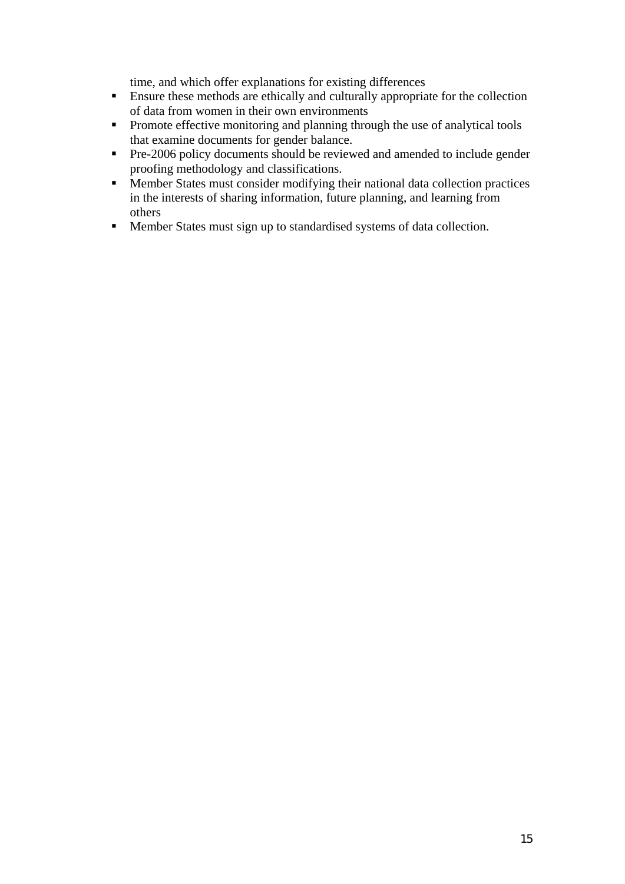time, and which offer explanations for existing differences

- Ensure these methods are ethically and culturally appropriate for the collection of data from women in their own environments
- **Promote effective monitoring and planning through the use of analytical tools** that examine documents for gender balance.
- **Pre-2006 policy documents should be reviewed and amended to include gender** proofing methodology and classifications.
- Member States must consider modifying their national data collection practices in the interests of sharing information, future planning, and learning from others
- Member States must sign up to standardised systems of data collection.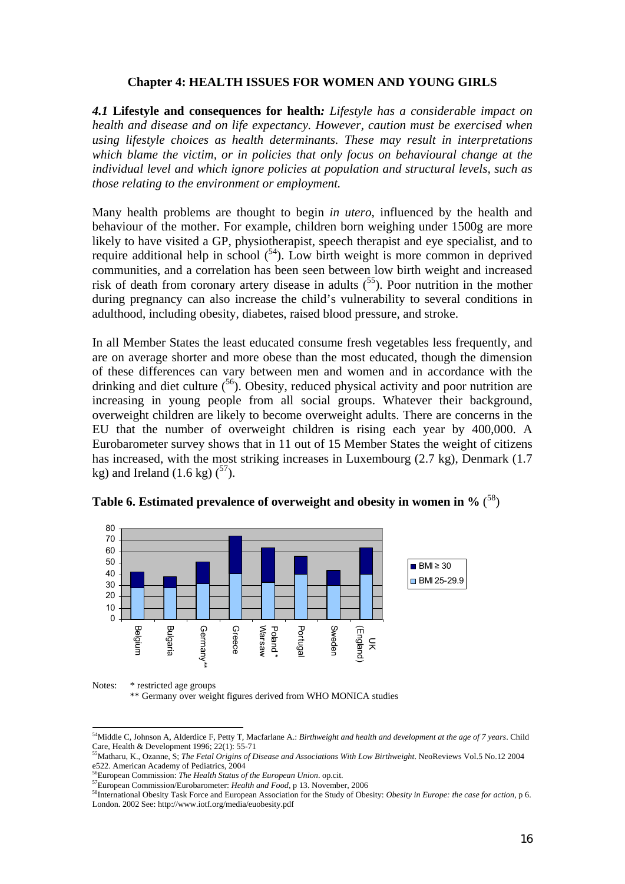#### **Chapter 4: HEALTH ISSUES FOR WOMEN AND YOUNG GIRLS**

*4.1* **Lifestyle and consequences for health***: Lifestyle has a considerable impact on health and disease and on life expectancy. However, caution must be exercised when using lifestyle choices as health determinants. These may result in interpretations which blame the victim, or in policies that only focus on behavioural change at the individual level and which ignore policies at population and structural levels, such as those relating to the environment or employment.* 

Many health problems are thought to begin *in utero*, influenced by the health and behaviour of the mother. For example, children born weighing under 1500g are more likely to have visited a GP, physiotherapist, speech therapist and eye specialist, and to require additional help in school  $(54)$ . Low birth weight is more common in deprived communities, and a correlation has been seen between low birth weight and increased risk of death from coronary artery disease in adults  $(55)$ . Poor nutrition in the mother during pregnancy can also increase the child's vulnerability to several conditions in adulthood, including obesity, diabetes, raised blood pressure, and stroke.

In all Member States the least educated consume fresh vegetables less frequently, and are on average shorter and more obese than the most educated, though the dimension of these differences can vary between men and women and in accordance with the drinking and diet culture  $(56)$ . Obesity, reduced physical activity and poor nutrition are increasing in young people from all social groups. Whatever their background, overweight children are likely to become overweight adults. There are concerns in the EU that the number of overweight children is rising each year by 400,000. A Eurobarometer survey shows that in 11 out of 15 Member States the weight of citizens has increased, with the most striking increases in Luxembourg (2.7 kg), Denmark (1.7 kg) and Ireland  $(1.6 \text{ kg})$   $(^{57})$ .



**Table 6. Estimated prevalence of overweight and obesity in women in %** ( 58)

Notes: \* restricted age groups

 $\overline{a}$ 

\*\* Germany over weight figures derived from WHO MONICA studies

<sup>54</sup>Middle C, Johnson A, Alderdice F, Petty T, Macfarlane A.: *Birthweight and health and development at the age of 7 years*. Child Care, Health & Development 1996; 22(1): 55-71

<sup>55</sup>Matharu, K., Ozanne, S; *The Fetal Origins of Disease and Associations With Low Birthweight*. NeoReviews Vol.5 No.12 2004 e522. American Academy of Pediatrics, 2004<br><sup>56</sup>European Commission: The Health Status of the European Union. op.cit.

<sup>&</sup>lt;sup>57</sup>European Commission/Eurobarometer: *Health and Food*, p 13. November, 2006<br><sup>58</sup>International Obesity Task Force and European Association for the Study of Obesity: *Obesity in Europe: the case for action*, p 6. London. 2002 See: http://www.iotf.org/media/euobesity.pdf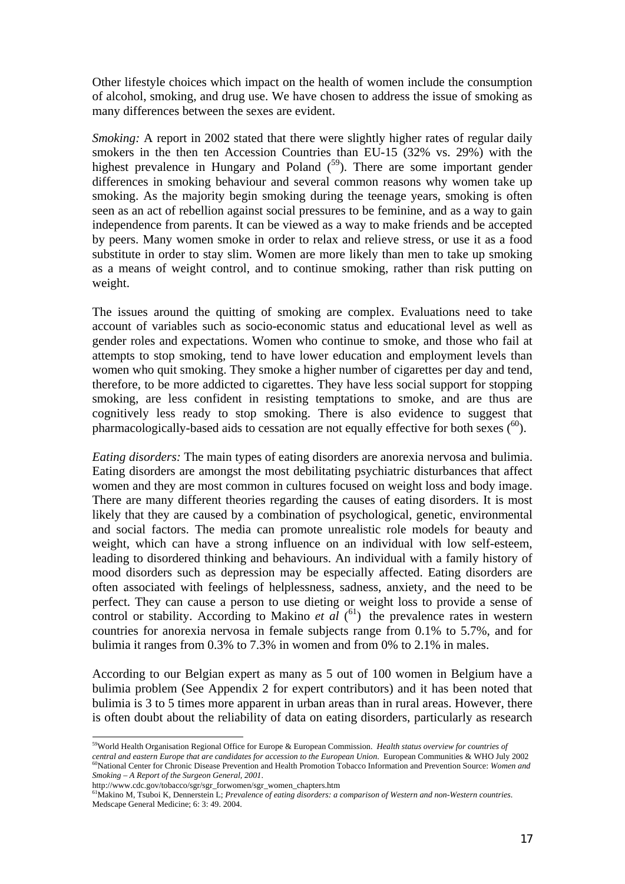Other lifestyle choices which impact on the health of women include the consumption of alcohol, smoking, and drug use. We have chosen to address the issue of smoking as many differences between the sexes are evident.

*Smoking:* A report in 2002 stated that there were slightly higher rates of regular daily smokers in the then ten Accession Countries than EU-15 (32% vs. 29%) with the highest prevalence in Hungary and Poland  $(5^9)$ . There are some important gender differences in smoking behaviour and several common reasons why women take up smoking. As the majority begin smoking during the teenage years, smoking is often seen as an act of rebellion against social pressures to be feminine, and as a way to gain independence from parents. It can be viewed as a way to make friends and be accepted by peers. Many women smoke in order to relax and relieve stress, or use it as a food substitute in order to stay slim. Women are more likely than men to take up smoking as a means of weight control, and to continue smoking, rather than risk putting on weight.

The issues around the quitting of smoking are complex. Evaluations need to take account of variables such as socio-economic status and educational level as well as gender roles and expectations. Women who continue to smoke, and those who fail at attempts to stop smoking, tend to have lower education and employment levels than women who quit smoking. They smoke a higher number of cigarettes per day and tend, therefore, to be more addicted to cigarettes. They have less social support for stopping smoking, are less confident in resisting temptations to smoke, and are thus are cognitively less ready to stop smoking. There is also evidence to suggest that pharmacologically-based aids to cessation are not equally effective for both sexes  $(60)$ .

*Eating disorders:* The main types of eating disorders are anorexia nervosa and bulimia. Eating disorders are amongst the most debilitating psychiatric disturbances that affect women and they are most common in cultures focused on weight loss and body image. There are many different theories regarding the causes of eating disorders. It is most likely that they are caused by a combination of psychological, genetic, environmental and social factors. The media can promote unrealistic role models for beauty and weight, which can have a strong influence on an individual with low self-esteem, leading to disordered thinking and behaviours. An individual with a family history of mood disorders such as depression may be especially affected. Eating disorders are often associated with feelings of helplessness, sadness, anxiety, and the need to be perfect. They can cause a person to use dieting or weight loss to provide a sense of control or stability. According to Makino *et al*  $(61)$  the prevalence rates in western countries for anorexia nervosa in female subjects range from 0.1% to 5.7%, and for bulimia it ranges from 0.3% to 7.3% in women and from 0% to 2.1% in males.

According to our Belgian expert as many as 5 out of 100 women in Belgium have a bulimia problem (See Appendix 2 for expert contributors) and it has been noted that bulimia is 3 to 5 times more apparent in urban areas than in rural areas. However, there is often doubt about the reliability of data on eating disorders, particularly as research

 $\overline{a}$ 

<sup>59</sup>World Health Organisation Regional Office for Europe & European Commission. *Health status overview for countries of*  central and eastern Europe that are candidates for accession to the European Union. European Communities & WHO July 2002<br><sup>60</sup>National Center for Chronic Disease Prevention and Health Promotion Tobacco Information and Preve *Smoking – A Report of the Surgeon General, 2001*.

http://www.cdc.gov/tobacco/sgr/sgr\_forwomen/sgr\_women\_chapters.htm

<sup>61</sup>Makino M, Tsuboi K, Dennerstein L; *Prevalence of eating disorders: a comparison of Western and non-Western countries*. Medscape General Medicine; 6: 3: 49. 2004.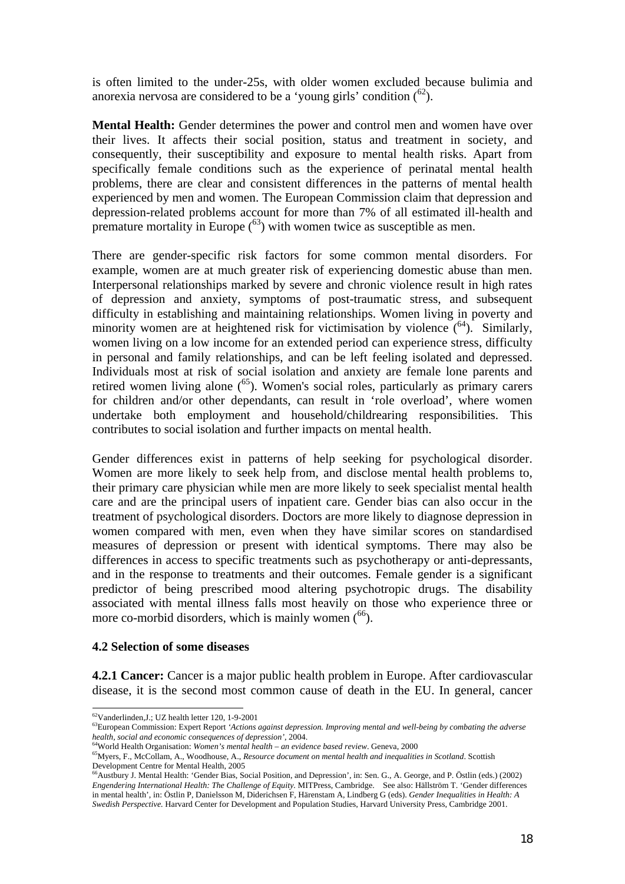is often limited to the under-25s, with older women excluded because bulimia and anorexia nervosa are considered to be a 'young girls' condition  $(^{62})$ .

**Mental Health:** Gender determines the power and control men and women have over their lives. It affects their social position, status and treatment in society, and consequently, their susceptibility and exposure to mental health risks. Apart from specifically female conditions such as the experience of perinatal mental health problems, there are clear and consistent differences in the patterns of mental health experienced by men and women. The European Commission claim that depression and depression-related problems account for more than 7% of all estimated ill-health and premature mortality in Europe  $^{63}$ ) with women twice as susceptible as men.

There are gender-specific risk factors for some common mental disorders. For example, women are at much greater risk of experiencing domestic abuse than men. Interpersonal relationships marked by severe and chronic violence result in high rates of depression and anxiety, symptoms of post-traumatic stress, and subsequent difficulty in establishing and maintaining relationships. Women living in poverty and minority women are at heightened risk for victimisation by violence  $(^{64})$ . Similarly, women living on a low income for an extended period can experience stress, difficulty in personal and family relationships, and can be left feeling isolated and depressed. Individuals most at risk of social isolation and anxiety are female lone parents and retired women living alone  $(65)$ . Women's social roles, particularly as primary carers for children and/or other dependants, can result in 'role overload', where women undertake both employment and household/childrearing responsibilities. This contributes to social isolation and further impacts on mental health.

Gender differences exist in patterns of help seeking for psychological disorder. Women are more likely to seek help from, and disclose mental health problems to, their primary care physician while men are more likely to seek specialist mental health care and are the principal users of inpatient care. Gender bias can also occur in the treatment of psychological disorders. Doctors are more likely to diagnose depression in women compared with men, even when they have similar scores on standardised measures of depression or present with identical symptoms. There may also be differences in access to specific treatments such as psychotherapy or anti-depressants, and in the response to treatments and their outcomes. Female gender is a significant predictor of being prescribed mood altering psychotropic drugs. The disability associated with mental illness falls most heavily on those who experience three or more co-morbid disorders, which is mainly women  $^{66}$ ).

#### **4.2 Selection of some diseases**

**4.2.1 Cancer:** Cancer is a major public health problem in Europe. After cardiovascular disease, it is the second most common cause of death in the EU. In general, cancer

 $\overline{a}$  $62$ Vanderlinden, J.; UZ health letter 120, 1-9-2001

<sup>63</sup>European Commission: Expert Report *'Actions against depression. Improving mental and well-being by combating the adverse health, social and economic consequences of depression'*, 2004. 64World Health Organisation: *Women's mental health – an evidence based review*. Geneva, 2000

<sup>65</sup>Myers, F., McCollam, A., Woodhouse, A., *Resource document on mental health and inequalities in Scotland*. Scottish Development Centre for Mental Health, 2005

<sup>66</sup>Austbury J. Mental Health: 'Gender Bias, Social Position, and Depression', in: Sen. G., A. George, and P. Östlin (eds.) (2002) *Engendering International Health: The Challenge of Equity.* MITPress, Cambridge. See also: Hällström T. 'Gender differences in mental health', in: Östlin P, Danielsson M, Diderichsen F, Härenstam A, Lindberg G (eds). *Gender Inequalities in Health: A Swedish Perspective.* Harvard Center for Development and Population Studies, Harvard University Press, Cambridge 2001.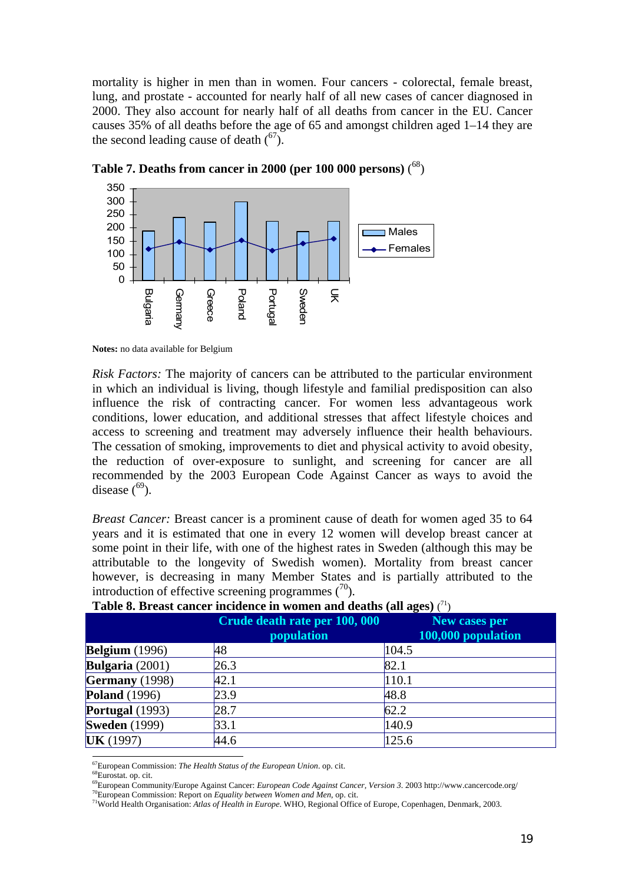mortality is higher in men than in women. Four cancers - colorectal, female breast, lung, and prostate - accounted for nearly half of all new cases of cancer diagnosed in 2000. They also account for nearly half of all deaths from cancer in the EU. Cancer causes 35% of all deaths before the age of 65 and amongst children aged 1–14 they are the second leading cause of death  $\binom{67}{0}$ .



 **Table 7. Deaths from cancer in 2000 (per 100 000 persons)** ( 68)

**Notes:** no data available for Belgium

*Risk Factors:* The majority of cancers can be attributed to the particular environment in which an individual is living, though lifestyle and familial predisposition can also influence the risk of contracting cancer. For women less advantageous work conditions, lower education, and additional stresses that affect lifestyle choices and access to screening and treatment may adversely influence their health behaviours. The cessation of smoking, improvements to diet and physical activity to avoid obesity, the reduction of over-exposure to sunlight, and screening for cancer are all recommended by the 2003 European Code Against Cancer as ways to avoid the disease  $(69)$ .

*Breast Cancer:* Breast cancer is a prominent cause of death for women aged 35 to 64 years and it is estimated that one in every 12 women will develop breast cancer at some point in their life, with one of the highest rates in Sweden (although this may be attributable to the longevity of Swedish women). Mortality from breast cancer however, is decreasing in many Member States and is partially attributed to the introduction of effective screening programmes  $\binom{70}{0}$ .

|                          | Crude death rate per 100, 000<br><i>population</i> | New cases per<br>100,000 population |
|--------------------------|----------------------------------------------------|-------------------------------------|
| <b>Belgium</b> (1996)    | 48                                                 | 104.5                               |
| <b>Bulgaria</b> $(2001)$ | 26.3                                               | 82.1                                |
| Germany (1998)           | 42.1                                               | 110.1                               |
| <b>Poland</b> (1996)     | 23.9                                               | 48.8                                |
| Portugal $(1993)$        | 28.7                                               | 62.2                                |
| <b>Sweden</b> (1999)     | 33.1                                               | 140.9                               |
| <b>UK</b> (1997)         | 44.6                                               | 125.6                               |

#### **Table 8. Breast cancer incidence in women and deaths (all ages)** ( 71)

 $\overline{a}$ 

<sup>&</sup>lt;sup>67</sup>European Commission: *The Health Status of the European Union*. op. cit.<br><sup>68</sup>Eurostat. op. cit.<br><sup>68</sup>Eurostat. op. cit.<br><sup>69</sup>European Community/Europe Against Cancer: *European Code Against Cancer*, *Version 3*. 2003 ht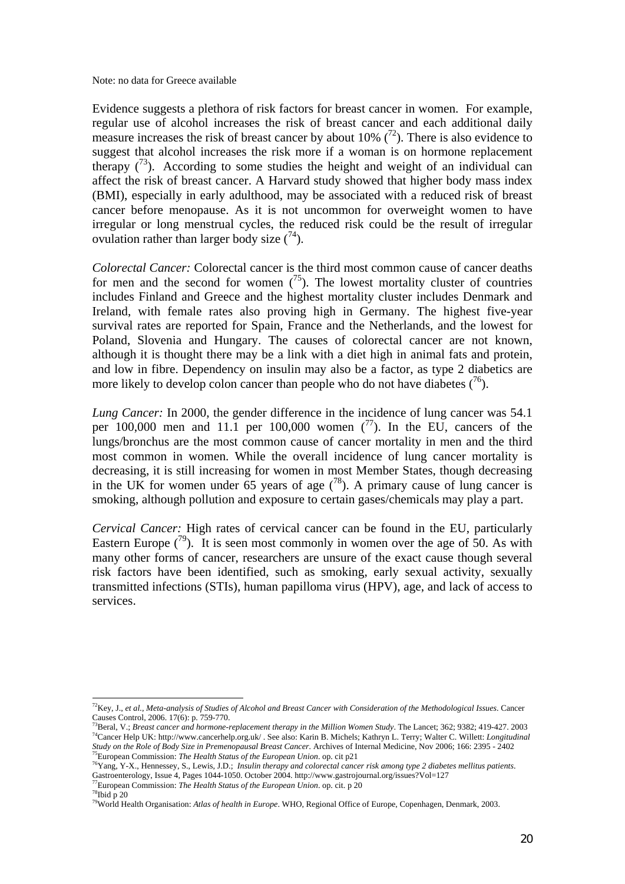Note: no data for Greece available

Evidence suggests a plethora of risk factors for breast cancer in women. For example, regular use of alcohol increases the risk of breast cancer and each additional daily measure increases the risk of breast cancer by about 10%  $(72)$ . There is also evidence to suggest that alcohol increases the risk more if a woman is on hormone replacement therapy  $(73)$ . According to some studies the height and weight of an individual can affect the risk of breast cancer. A Harvard study showed that higher body mass index (BMI), especially in early adulthood, may be associated with a reduced risk of breast cancer before menopause. As it is not uncommon for overweight women to have irregular or long menstrual cycles, the reduced risk could be the result of irregular ovulation rather than larger body size  $(74)$ .

*Colorectal Cancer:* Colorectal cancer is the third most common cause of cancer deaths for men and the second for women  $\binom{75}{2}$ . The lowest mortality cluster of countries includes Finland and Greece and the highest mortality cluster includes Denmark and Ireland, with female rates also proving high in Germany. The highest five-year survival rates are reported for Spain, France and the Netherlands, and the lowest for Poland, Slovenia and Hungary. The causes of colorectal cancer are not known, although it is thought there may be a link with a diet high in animal fats and protein, and low in fibre. Dependency on insulin may also be a factor, as type 2 diabetics are more likely to develop colon cancer than people who do not have diabetes  $(76)$ .

*Lung Cancer:* In 2000, the gender difference in the incidence of lung cancer was 54.1 per 100,000 men and 11.1 per 100,000 women  $(^{77})$ . In the EU, cancers of the lungs/bronchus are the most common cause of cancer mortality in men and the third most common in women. While the overall incidence of lung cancer mortality is decreasing, it is still increasing for women in most Member States, though decreasing in the UK for women under 65 years of age  $(^{78})$ . A primary cause of lung cancer is smoking, although pollution and exposure to certain gases/chemicals may play a part.

*Cervical Cancer:* High rates of cervical cancer can be found in the EU, particularly Eastern Europe  $(79)$ . It is seen most commonly in women over the age of 50. As with many other forms of cancer, researchers are unsure of the exact cause though several risk factors have been identified, such as smoking, early sexual activity, sexually transmitted infections (STIs), human papilloma virus (HPV), age, and lack of access to services.

 $\overline{a}$ 72Key, J., *et al., Meta-analysis of Studies of Alcohol and Breast Cancer with Consideration of the Methodological Issues*. Cancer Causes Control, 2006. 17(6): p. 759-770.<br><sup>73</sup>Beral, V.; *Breast cancer and hormone-replacement therapy in the Million Women Study.* The Lancet; 362; 9382; 419-427. 2003

<sup>&</sup>lt;sup>74</sup>Cancer Help UK: http://www.cancerhelp.org.uk/. See also: Karin B. Michels: Kathryn L. Terry: Walter C. Willett: *Longitudinal Study on the Role of Body Size in Premenopausal Breast Cancer.* Archives of Internal Medicine, Nov 2006; 166: 2395 - 2402 75European Commission: *The Health Status of the European Union*. op. cit p21

<sup>76</sup>Yang, Y-X., Hennessey, S., Lewis, J.D.; *Insulin therapy and colorectal cancer risk among type 2 diabetes mellitus patients*. Gastroenterology, Issue 4, Pages 1044-1050. October 2004. http://www.gastrojournal.org/issues?Vol=127 <sup>77</sup>European Commission: *The Health Status of the European Union*. op. cit. p 20 <sup>78</sup>Ibid p 20

<sup>79</sup>World Health Organisation: *Atlas of health in Europe*. WHO, Regional Office of Europe, Copenhagen, Denmark, 2003.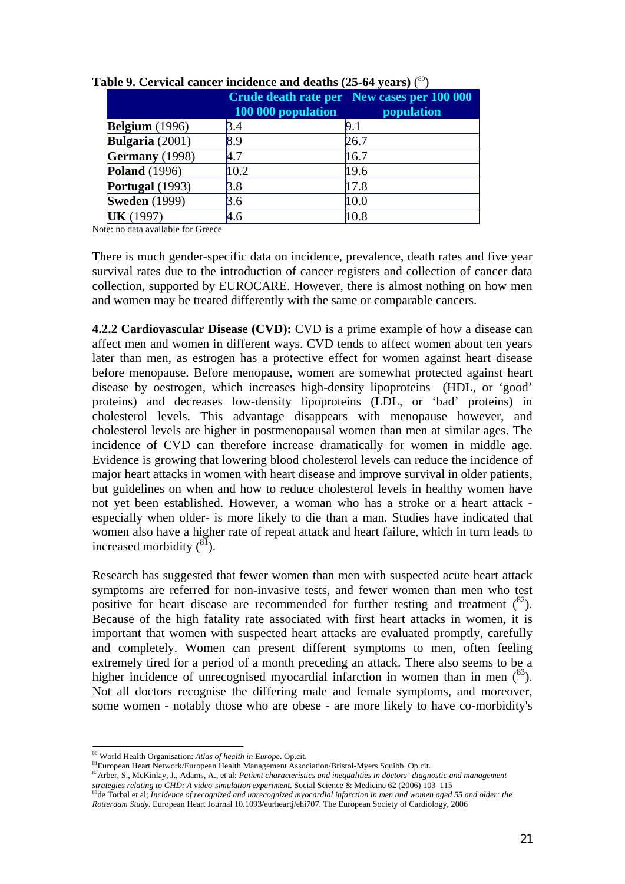|                       | 100 000 population | Crude death rate per New cases per 100 000<br>population |
|-----------------------|--------------------|----------------------------------------------------------|
| <b>Belgium</b> (1996) | 3.4                | 9.1                                                      |
| Bulgaria $(2001)$     | 8.9                | 26.7                                                     |
| Germany $(1998)$      | 4.7                | 16.7                                                     |
| <b>Poland</b> (1996)  | 10.2               | 19.6                                                     |
| Portugal (1993)       | 3.8                | 17.8                                                     |
| <b>Sweden</b> (1999)  | 3.6                | 10.0                                                     |
| <b>UK</b> (1997)      | 4.6                | 10.8                                                     |

#### **Table 9. Cervical cancer incidence and deaths (25-64 years)** ( 80)

Note: no data available for Greece

There is much gender-specific data on incidence, prevalence, death rates and five year survival rates due to the introduction of cancer registers and collection of cancer data collection, supported by EUROCARE. However, there is almost nothing on how men and women may be treated differently with the same or comparable cancers.

**4.2.2 Cardiovascular Disease (CVD):** CVD is a prime example of how a disease can affect men and women in different ways. CVD tends to affect women about ten years later than men, as estrogen has a protective effect for women against heart disease before menopause. Before menopause, women are somewhat protected against heart disease by oestrogen, which increases high-density lipoproteins (HDL, or 'good' proteins) and decreases low-density lipoproteins (LDL, or 'bad' proteins) in cholesterol levels. This advantage disappears with menopause however, and cholesterol levels are higher in postmenopausal women than men at similar ages. The incidence of CVD can therefore increase dramatically for women in middle age. Evidence is growing that lowering blood cholesterol levels can reduce the incidence of major heart attacks in women with heart disease and improve survival in older patients, but guidelines on when and how to reduce cholesterol levels in healthy women have not yet been established. However, a woman who has a stroke or a heart attack especially when older- is more likely to die than a man. Studies have indicated that women also have a higher rate of repeat attack and heart failure, which in turn leads to increased morbidity  $(^{81})$ .

Research has suggested that fewer women than men with suspected acute heart attack symptoms are referred for non-invasive tests, and fewer women than men who test positive for heart disease are recommended for further testing and treatment  $(^{82})$ . Because of the high fatality rate associated with first heart attacks in women, it is important that women with suspected heart attacks are evaluated promptly, carefully and completely. Women can present different symptoms to men, often feeling extremely tired for a period of a month preceding an attack. There also seems to be a higher incidence of unrecognised myocardial infarction in women than in men  $\binom{83}{2}$ . Not all doctors recognise the differing male and female symptoms, and moreover, some women - notably those who are obese - are more likely to have co-morbidity's

<sup>82</sup>Arber, S., McKinlay, J., Adams, A., et al: *Patient characteristics and inequalities in doctors' diagnostic and management* strategies relating to CHD: A video-simulation experiment. Social Science & Medicine 62 (2006) 103-115<br><sup>83</sup>de Torbal et al; *Incidence of recognized and unrecognized myocardial infarction in men and women aged 55 and older* 

 $\overline{a}$ 

<sup>80</sup> World Health Organisation: *Atlas of health in Europe*. Op.cit.

*Rotterdam Study*. European Heart Journal 10.1093/eurheartj/ehi707. The European Society of Cardiology, 2006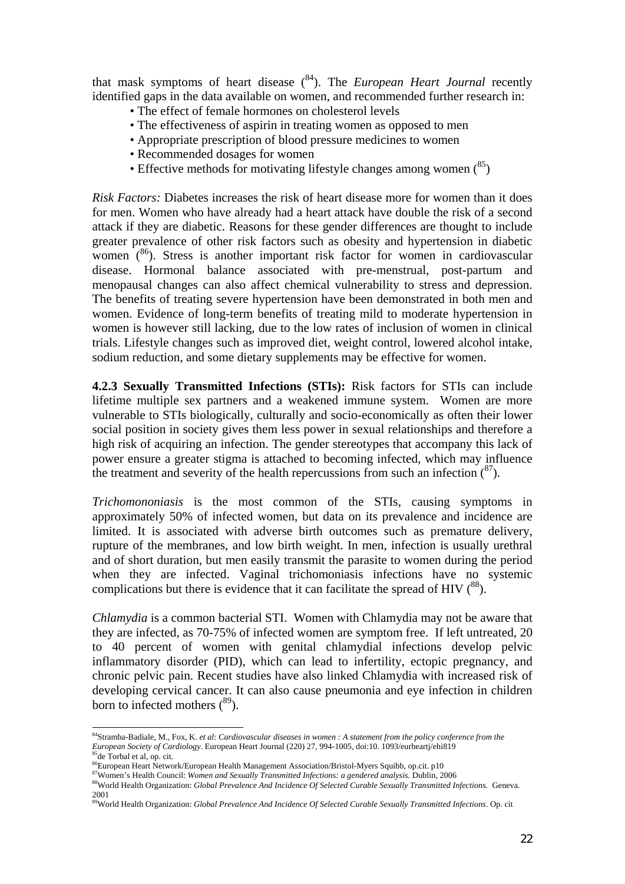that mask symptoms of heart disease  $(84)$ . The *European Heart Journal* recently identified gaps in the data available on women, and recommended further research in:

- The effect of female hormones on cholesterol levels
- The effectiveness of aspirin in treating women as opposed to men
- Appropriate prescription of blood pressure medicines to women
- Recommended dosages for women
- Effective methods for motivating lifestyle changes among women  $(^{85})$

*Risk Factors:* Diabetes increases the risk of heart disease more for women than it does for men. Women who have already had a heart attack have double the risk of a second attack if they are diabetic. Reasons for these gender differences are thought to include greater prevalence of other risk factors such as obesity and hypertension in diabetic women  $(86)$ . Stress is another important risk factor for women in cardiovascular disease. Hormonal balance associated with pre-menstrual, post-partum and menopausal changes can also affect chemical vulnerability to stress and depression. The benefits of treating severe hypertension have been demonstrated in both men and women. Evidence of long-term benefits of treating mild to moderate hypertension in women is however still lacking, due to the low rates of inclusion of women in clinical trials. Lifestyle changes such as improved diet, weight control, lowered alcohol intake, sodium reduction, and some dietary supplements may be effective for women.

**4.2.3 Sexually Transmitted Infections (STIs):** Risk factors for STIs can include lifetime multiple sex partners and a weakened immune system. Women are more vulnerable to STIs biologically, culturally and socio-economically as often their lower social position in society gives them less power in sexual relationships and therefore a high risk of acquiring an infection. The gender stereotypes that accompany this lack of power ensure a greater stigma is attached to becoming infected, which may influence the treatment and severity of the health repercussions from such an infection  $\binom{8}{2}$ .

*Trichomononiasis* is the most common of the STIs, causing symptoms in approximately 50% of infected women, but data on its prevalence and incidence are limited. It is associated with adverse birth outcomes such as premature delivery, rupture of the membranes, and low birth weight. In men, infection is usually urethral and of short duration, but men easily transmit the parasite to women during the period when they are infected. Vaginal trichomoniasis infections have no systemic complications but there is evidence that it can facilitate the spread of HIV  $(^{88})$ .

*Chlamydia* is a common bacterial STI. Women with Chlamydia may not be aware that they are infected, as 70-75% of infected women are symptom free. If left untreated, 20 to 40 percent of women with genital chlamydial infections develop pelvic inflammatory disorder (PID), which can lead to infertility, ectopic pregnancy, and chronic pelvic pain. Recent studies have also linked Chlamydia with increased risk of developing cervical cancer. It can also cause pneumonia and eye infection in children born to infected mothers  $(^{89})$ .

 $\overline{a}$ 

<sup>84</sup>Stramba-Badiale, M., Fox, K. *et al*: *Cardiovascular diseases in women : A statement from the policy conference from the European Society of Cardiology*. European Heart Journal (220) 27, 994-1005, doi:10. 1093/eurheartj/ehi819<br><sup>85</sup>de Torbal et al. op. cit.

<sup>&</sup>lt;sup>86</sup>European Heart Network/European Health Management Association/Bristol-Myers Squibb, op.cit. p10<br><sup>87</sup>Women's Health Council: Women and Sexually Transmitted Infections: a gendered analysis. Dublin, 2006

<sup>&</sup>lt;sup>88</sup>World Health Organization: Global Prevalence And Incidence Of Selected Curable Sexually Transmitted Infections. Geneva. 2001

<sup>89</sup>World Health Organization: *Global Prevalence And Incidence Of Selected Curable Sexually Transmitted Infections*. Op. cit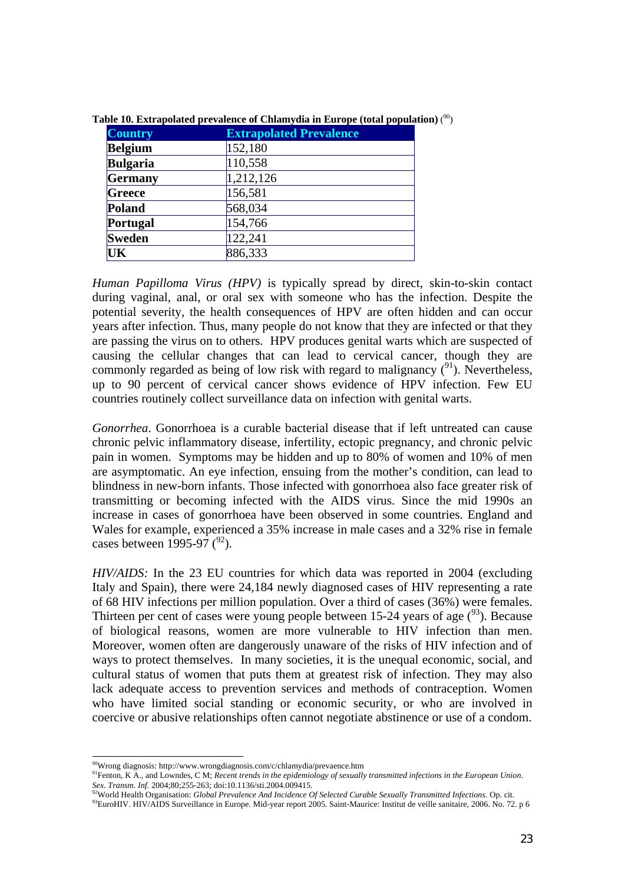| <b>Country</b>  | <b>Extrapolated Prevalence</b> |
|-----------------|--------------------------------|
| <b>Belgium</b>  | 152,180                        |
| <b>Bulgaria</b> | 110,558                        |
| Germany         | 1,212,126                      |
| Greece          | 156,581                        |
| Poland          | 568,034                        |
| Portugal        | 154,766                        |
| <b>Sweden</b>   | 122,241                        |
| UK              | 886,333                        |

**Table 10. Extrapolated prevalence of Chlamydia in Europe (total population)** ( 90)

*Human Papilloma Virus (HPV)* is typically spread by direct, skin-to-skin contact during vaginal, anal, or oral sex with someone who has the infection. Despite the potential severity, the health consequences of HPV are often hidden and can occur years after infection. Thus, many people do not know that they are infected or that they are passing the virus on to others. HPV produces genital warts which are suspected of causing the cellular changes that can lead to cervical cancer, though they are commonly regarded as being of low risk with regard to malignancy  $(^{91})$ . Nevertheless, up to 90 percent of cervical cancer shows evidence of HPV infection. Few EU countries routinely collect surveillance data on infection with genital warts.

*Gonorrhea*. Gonorrhoea is a curable bacterial disease that if left untreated can cause chronic pelvic inflammatory disease, infertility, ectopic pregnancy, and chronic pelvic pain in women. Symptoms may be hidden and up to 80% of women and 10% of men are asymptomatic. An eye infection, ensuing from the mother's condition, can lead to blindness in new-born infants. Those infected with gonorrhoea also face greater risk of transmitting or becoming infected with the AIDS virus. Since the mid 1990s an increase in cases of gonorrhoea have been observed in some countries. England and Wales for example, experienced a 35% increase in male cases and a 32% rise in female cases between 1995-97  $(^{92})$ .

*HIV/AIDS:* In the 23 EU countries for which data was reported in 2004 (excluding Italy and Spain), there were 24,184 newly diagnosed cases of HIV representing a rate of 68 HIV infections per million population. Over a third of cases (36%) were females. Thirteen per cent of cases were young people between 15-24 years of age  $(^{93})$ . Because of biological reasons, women are more vulnerable to HIV infection than men. Moreover, women often are dangerously unaware of the risks of HIV infection and of ways to protect themselves. In many societies, it is the unequal economic, social, and cultural status of women that puts them at greatest risk of infection. They may also lack adequate access to prevention services and methods of contraception. Women who have limited social standing or economic security, or who are involved in coercive or abusive relationships often cannot negotiate abstinence or use of a condom.

<sup>90</sup>Wrong diagnosis: http://www.wrongdiagnosis.com/c/chlamydia/prevaence.htm

<sup>91</sup>Fenton, K A., and Lowndes, C M; *Recent trends in the epidemiology of sexually transmitted infections in the European Union*. Sex. Transm. Inf. 2004;80;255-263; doi:10.1136/sti.2004.009415.<br><sup>92</sup>World Health Organisation: *Global Prevalence And Incidence Of Selected Curable Sexually Transmitted Infections. Op. cit.<br><sup>92</sup>World Health Organisation: <i>*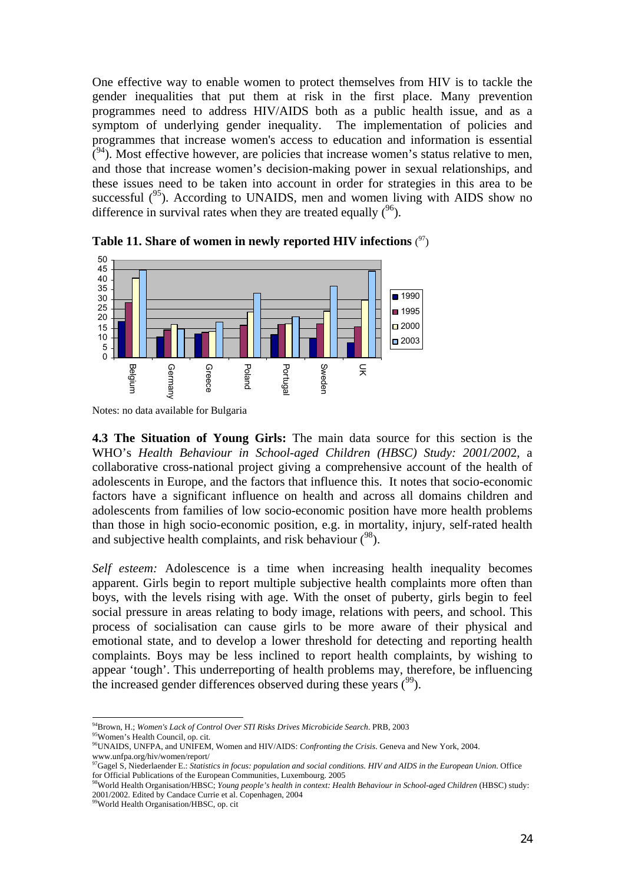One effective way to enable women to protect themselves from HIV is to tackle the gender inequalities that put them at risk in the first place. Many prevention programmes need to address HIV/AIDS both as a public health issue, and as a symptom of underlying gender inequality. The implementation of policies and programmes that increase women's access to education and information is essential  $\tilde{C}^{94}$ ). Most effective however, are policies that increase women's status relative to men, and those that increase women's decision-making power in sexual relationships, and these issues need to be taken into account in order for strategies in this area to be successful  $(^{95})$ . According to UNAIDS, men and women living with AIDS show no difference in survival rates when they are treated equally  $(96)$ .



**Table 11. Share of women in newly reported HIV infections** ( 97)

**4.3 The Situation of Young Girls:** The main data source for this section is the WHO's *Health Behaviour in School-aged Children (HBSC) Study: 2001/200*2, a collaborative cross-national project giving a comprehensive account of the health of adolescents in Europe, and the factors that influence this. It notes that socio-economic factors have a significant influence on health and across all domains children and adolescents from families of low socio-economic position have more health problems than those in high socio-economic position, e.g. in mortality, injury, self-rated health and subjective health complaints, and risk behaviour  $(^{98})$ .

*Self esteem:* Adolescence is a time when increasing health inequality becomes apparent. Girls begin to report multiple subjective health complaints more often than boys, with the levels rising with age. With the onset of puberty, girls begin to feel social pressure in areas relating to body image, relations with peers, and school. This process of socialisation can cause girls to be more aware of their physical and emotional state, and to develop a lower threshold for detecting and reporting health complaints. Boys may be less inclined to report health complaints, by wishing to appear 'tough'. This underreporting of health problems may, therefore, be influencing the increased gender differences observed during these years  $(99)$ .

Notes: no data available for Bulgaria

 $\overline{a}$ <sup>94</sup>Brown, H.; *Women's Lack of Control Over STI Risks Drives Microbicide Search.* PRB, 2003<br><sup>95</sup>Women's Health Council, op. cit.

<sup>96</sup>UNAIDS, UNFPA, and UNIFEM, Women and HIV/AIDS: *Confronting the Crisis*. Geneva and New York, 2004. www.unfpa.org/hiv/women/report/

<sup>97</sup>Gagel S, Niederlaender E.: *Statistics in focus: population and social conditions. HIV and AIDS in the European Union*. Office for Official Publications of the European Communities, Luxembourg. 2005

<sup>98</sup>World Health Organisation/HBSC; *Young people's health in context: Health Behaviour in School-aged Children* (HBSC) study: 2001/2002. Edited by Candace Currie et al. Copenhagen, 2004

<sup>&</sup>lt;sup>99</sup>World Health Organisation/HBSC, op. cit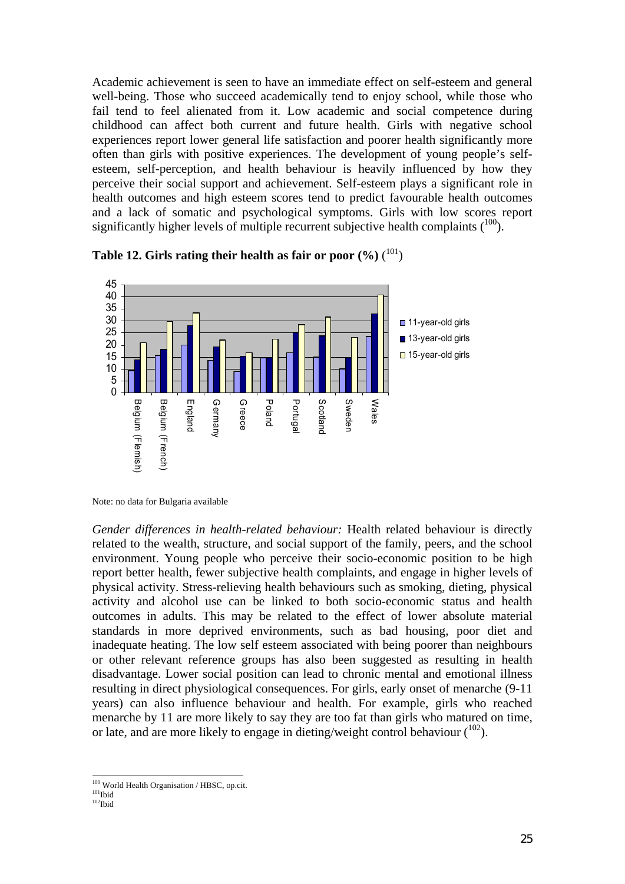Academic achievement is seen to have an immediate effect on self-esteem and general well-being. Those who succeed academically tend to enjoy school, while those who fail tend to feel alienated from it. Low academic and social competence during childhood can affect both current and future health. Girls with negative school experiences report lower general life satisfaction and poorer health significantly more often than girls with positive experiences. The development of young people's selfesteem, self-perception, and health behaviour is heavily influenced by how they perceive their social support and achievement. Self-esteem plays a significant role in health outcomes and high esteem scores tend to predict favourable health outcomes and a lack of somatic and psychological symptoms. Girls with low scores report significantly higher levels of multiple recurrent subjective health complaints  $(^{100})$ .





Note: no data for Bulgaria available

*Gender differences in health-related behaviour:* Health related behaviour is directly related to the wealth, structure, and social support of the family, peers, and the school environment. Young people who perceive their socio-economic position to be high report better health, fewer subjective health complaints, and engage in higher levels of physical activity. Stress-relieving health behaviours such as smoking, dieting, physical activity and alcohol use can be linked to both socio-economic status and health outcomes in adults. This may be related to the effect of lower absolute material standards in more deprived environments, such as bad housing, poor diet and inadequate heating. The low self esteem associated with being poorer than neighbours or other relevant reference groups has also been suggested as resulting in health disadvantage. Lower social position can lead to chronic mental and emotional illness resulting in direct physiological consequences. For girls, early onset of menarche (9-11 years) can also influence behaviour and health. For example, girls who reached menarche by 11 are more likely to say they are too fat than girls who matured on time, or late, and are more likely to engage in dieting/weight control behaviour  $(102)$ .

l <sup>100</sup> World Health Organisation / HBSC, op.cit.<br><sup>101</sup>Ibid <sup>102</sup>Ibid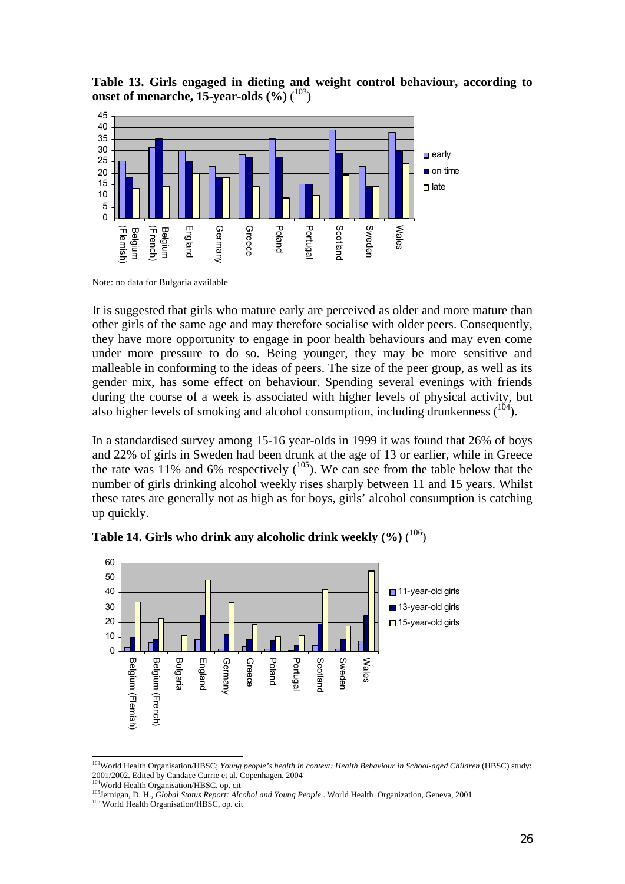**Table 13. Girls engaged in dieting and weight control behaviour, according to onset of menarche, 15-year-olds (%)** ( 103)



Note: no data for Bulgaria available

It is suggested that girls who mature early are perceived as older and more mature than other girls of the same age and may therefore socialise with older peers. Consequently, they have more opportunity to engage in poor health behaviours and may even come under more pressure to do so. Being younger, they may be more sensitive and malleable in conforming to the ideas of peers. The size of the peer group, as well as its gender mix, has some effect on behaviour. Spending several evenings with friends during the course of a week is associated with higher levels of physical activity, but also higher levels of smoking and alcohol consumption, including drunkenness  $(104)$ .

In a standardised survey among 15-16 year-olds in 1999 it was found that 26% of boys and 22% of girls in Sweden had been drunk at the age of 13 or earlier, while in Greece the rate was  $11\%$  and 6% respectively  $\binom{105}{ }$ . We can see from the table below that the number of girls drinking alcohol weekly rises sharply between 11 and 15 years. Whilst these rates are generally not as high as for boys, girls' alcohol consumption is catching up quickly.



**Table 14. Girls who drink any alcoholic drink weekly (%)** ( 106)

 $\overline{a}$ 

<sup>103</sup>World Health Organisation/HBSC; *Young people's health in context: Health Behaviour in School-aged Children* (HBSC) study: 2001/2002. Edited by Candace Currie et al. Copenhagen, 2004

<sup>&</sup>lt;sup>105</sup> Jernigan, D. H., *Global Status Report: Alcohol and Young People* . World Health Organization, Geneva, 2001

<sup>106</sup> World Health Organisation/HBSC, op. cit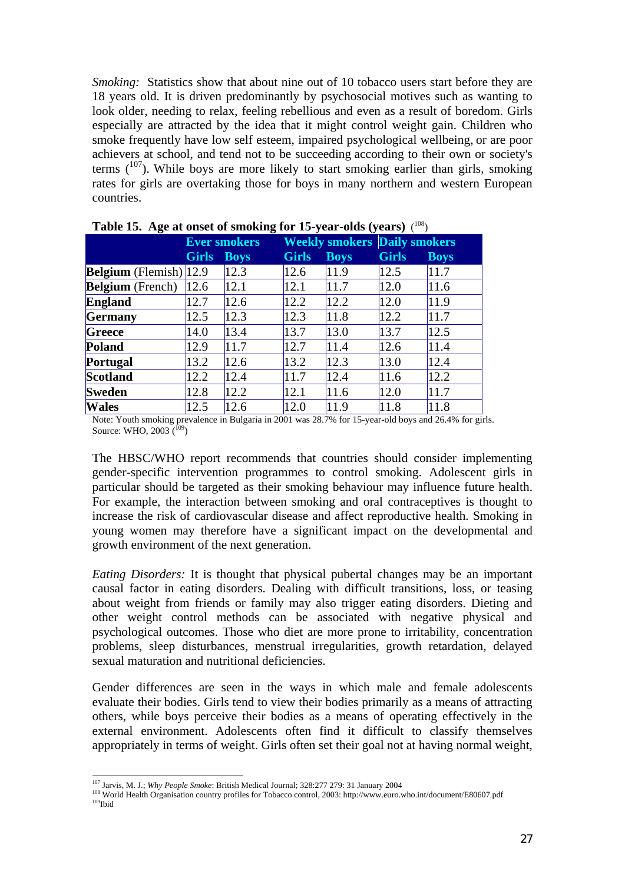*Smoking:* Statistics show that about nine out of 10 tobacco users start before they are 18 years old. It is driven predominantly by psychosocial motives such as wanting to look older, needing to relax, feeling rebellious and even as a result of boredom. Girls especially are attracted by the idea that it might control weight gain. Children who smoke frequently have low self esteem, impaired psychological wellbeing, or are poor achievers at school, and tend not to be succeeding according to their own or society's terms  $(107)$ . While boys are more likely to start smoking earlier than girls, smoking rates for girls are overtaking those for boys in many northern and western European countries.

|                                  | <b>Ever smokers</b> |             | <b>Weekly smokers Daily smokers</b> |             |              |             |
|----------------------------------|---------------------|-------------|-------------------------------------|-------------|--------------|-------------|
|                                  | <b>Girls</b>        | <b>Boys</b> | <b>Girls</b>                        | <b>Boys</b> | <b>Girls</b> | <b>Boys</b> |
| <b>Belgium</b> (Flemish) $ 12.9$ |                     | 12.3        | 12.6                                | 11.9        | 12.5         | 11.7        |
| <b>Belgium</b> (French)          | 12.6                | 12.1        | 12.1                                | 11.7        | 12.0         | 11.6        |
| <b>England</b>                   | 12.7                | 12.6        | 12.2                                | 12.2        | 12.0         | 11.9        |
| <b>Germany</b>                   | 12.5                | 12.3        | 12.3                                | 11.8        | 12.2         | 11.7        |
| Greece                           | 14.0                | 13.4        | 13.7                                | 13.0        | 13.7         | 12.5        |
| <b>Poland</b>                    | 12.9                | 11.7        | 12.7                                | 11.4        | 12.6         | 11.4        |
| Portugal                         | 13.2                | 12.6        | 13.2                                | 12.3        | 13.0         | 12.4        |
| <b>Scotland</b>                  | 12.2                | 12.4        | 11.7                                | 12.4        | 11.6         | 12.2        |
| <b>Sweden</b>                    | 12.8                | 12.2        | 12.1                                | 11.6        | 12.0         | 11.7        |
| <b>Wales</b>                     | 12.5                | 12.6        | 12.0                                | 11.9        | 11.8         | 11.8        |

| Table 15. Age at onset of smoking for 15-year-olds (years) $(108)$ |  |  |
|--------------------------------------------------------------------|--|--|
|                                                                    |  |  |

Note: Youth smoking prevalence in Bulgaria in 2001 was 28.7% for 15-year-old boys and 26.4% for girls. Source: WHO,  $2003(109)$ 

The HBSC/WHO report recommends that countries should consider implementing gender-specific intervention programmes to control smoking. Adolescent girls in particular should be targeted as their smoking behaviour may influence future health. For example, the interaction between smoking and oral contraceptives is thought to increase the risk of cardiovascular disease and affect reproductive health*.* Smoking in young women may therefore have a significant impact on the developmental and growth environment of the next generation.

*Eating Disorders:* It is thought that physical pubertal changes may be an important causal factor in eating disorders. Dealing with difficult transitions, loss, or teasing about weight from friends or family may also trigger eating disorders. Dieting and other weight control methods can be associated with negative physical and psychological outcomes. Those who diet are more prone to irritability, concentration problems, sleep disturbances, menstrual irregularities, growth retardation, delayed sexual maturation and nutritional deficiencies.

Gender differences are seen in the ways in which male and female adolescents evaluate their bodies. Girls tend to view their bodies primarily as a means of attracting others, while boys perceive their bodies as a means of operating effectively in the external environment. Adolescents often find it difficult to classify themselves appropriately in terms of weight. Girls often set their goal not at having normal weight,

<sup>&</sup>lt;sup>107</sup> Jarvis. M. J.; Why People Smoke: British Medical Journal; 328:277 279: 31 January 2004

<sup>108</sup> World Health Organisation country profiles for Tobacco control, 2003: http://www.euro.who.int/document/E80607.pdf  $109$ Ibid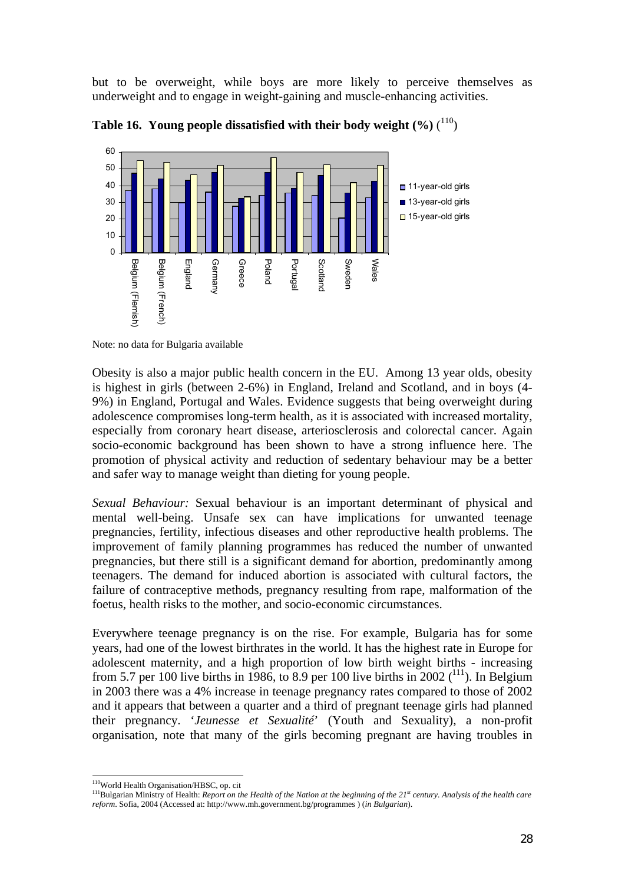but to be overweight, while boys are more likely to perceive themselves as underweight and to engage in weight-gaining and muscle-enhancing activities.



Table 16. Young people dissatisfied with their body weight (%) (<sup>110</sup>)

Note: no data for Bulgaria available

Obesity is also a major public health concern in the EU. Among 13 year olds, obesity is highest in girls (between 2-6%) in England, Ireland and Scotland, and in boys (4- 9%) in England, Portugal and Wales. Evidence suggests that being overweight during adolescence compromises long-term health, as it is associated with increased mortality, especially from coronary heart disease, arteriosclerosis and colorectal cancer. Again socio-economic background has been shown to have a strong influence here. The promotion of physical activity and reduction of sedentary behaviour may be a better and safer way to manage weight than dieting for young people.

*Sexual Behaviour:* Sexual behaviour is an important determinant of physical and mental well-being. Unsafe sex can have implications for unwanted teenage pregnancies, fertility, infectious diseases and other reproductive health problems. The improvement of family planning programmes has reduced the number of unwanted pregnancies, but there still is a significant demand for abortion, predominantly among teenagers. The demand for induced abortion is associated with cultural factors, the failure of contraceptive methods, pregnancy resulting from rape, malformation of the foetus, health risks to the mother, and socio-economic circumstances.

Everywhere teenage pregnancy is on the rise. For example, Bulgaria has for some years, had one of the lowest birthrates in the world. It has the highest rate in Europe for adolescent maternity, and a high proportion of low birth weight births - increasing from 5.7 per 100 live births in 1986, to 8.9 per 100 live births in 2002 ( $^{111}$ ). In Belgium in 2003 there was a 4% increase in teenage pregnancy rates compared to those of 2002 and it appears that between a quarter and a third of pregnant teenage girls had planned their pregnancy. '*Jeunesse et Sexualité*' (Youth and Sexuality), a non-profit organisation, note that many of the girls becoming pregnant are having troubles in

<sup>&</sup>lt;sup>110</sup>World Health Organisation/HBSC, op. cit

<sup>&</sup>lt;sup>111</sup>Bulgarian Ministry of Health: *Report on the Health of the Nation at the beginning of the 21<sup><i>st*</sup> century. Analysis of the health care *reform*. Sofia, 2004 (Accessed at: http://www.mh.government.bg/programmes ) (*in Bulgarian*).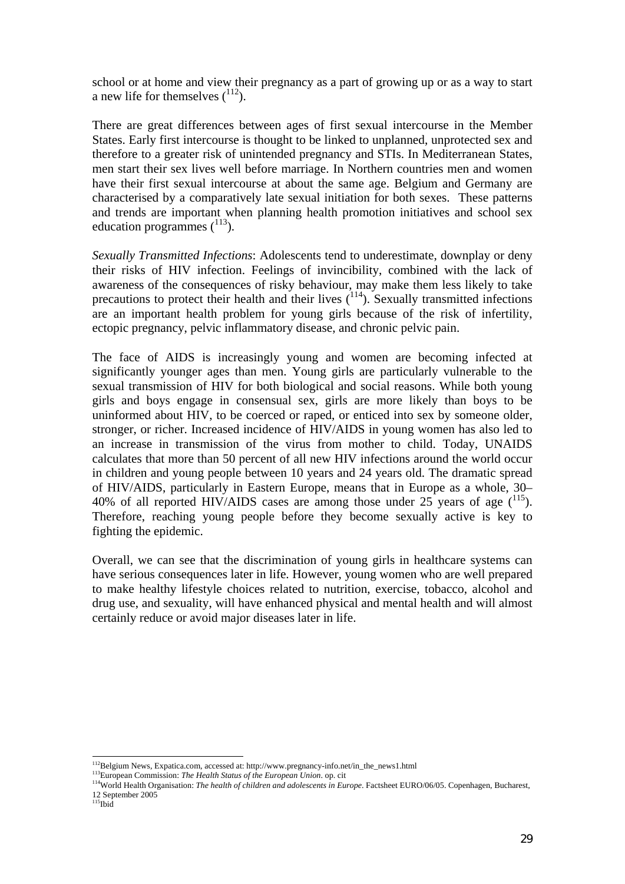school or at home and view their pregnancy as a part of growing up or as a way to start a new life for themselves  $(^{112})$ .

There are great differences between ages of first sexual intercourse in the Member States. Early first intercourse is thought to be linked to unplanned, unprotected sex and therefore to a greater risk of unintended pregnancy and STIs. In Mediterranean States, men start their sex lives well before marriage. In Northern countries men and women have their first sexual intercourse at about the same age. Belgium and Germany are characterised by a comparatively late sexual initiation for both sexes. These patterns and trends are important when planning health promotion initiatives and school sex education programmes  $(^{113})$ .

*Sexually Transmitted Infections*: Adolescents tend to underestimate, downplay or deny their risks of HIV infection. Feelings of invincibility, combined with the lack of awareness of the consequences of risky behaviour, may make them less likely to take precautions to protect their health and their lives  $(114)$ . Sexually transmitted infections are an important health problem for young girls because of the risk of infertility, ectopic pregnancy, pelvic inflammatory disease, and chronic pelvic pain.

The face of AIDS is increasingly young and women are becoming infected at significantly younger ages than men. Young girls are particularly vulnerable to the sexual transmission of HIV for both biological and social reasons. While both young girls and boys engage in consensual sex, girls are more likely than boys to be uninformed about HIV, to be coerced or raped, or enticed into sex by someone older, stronger, or richer. Increased incidence of HIV/AIDS in young women has also led to an increase in transmission of the virus from mother to child. Today, UNAIDS calculates that more than 50 percent of all new HIV infections around the world occur in children and young people between 10 years and 24 years old. The dramatic spread of HIV/AIDS, particularly in Eastern Europe, means that in Europe as a whole, 30– 40% of all reported HIV/AIDS cases are among those under 25 years of age (<sup>115</sup>). Therefore, reaching young people before they become sexually active is key to fighting the epidemic.

Overall, we can see that the discrimination of young girls in healthcare systems can have serious consequences later in life. However, young women who are well prepared to make healthy lifestyle choices related to nutrition, exercise, tobacco, alcohol and drug use, and sexuality, will have enhanced physical and mental health and will almost certainly reduce or avoid major diseases later in life.

 $^{112}$ Belgium News, Expatica.com, accessed at: http://www.pregnancy-info.net/in\_the\_news1.html

<sup>&</sup>lt;sup>113</sup>European Commission: The Health Status of the European Union. op. cit<br><sup>114</sup>World Health Organisation: *The health of children and adolescents in Europe*. Factsheet EURO/06/05. Copenhagen, Bucharest, 12 September 2005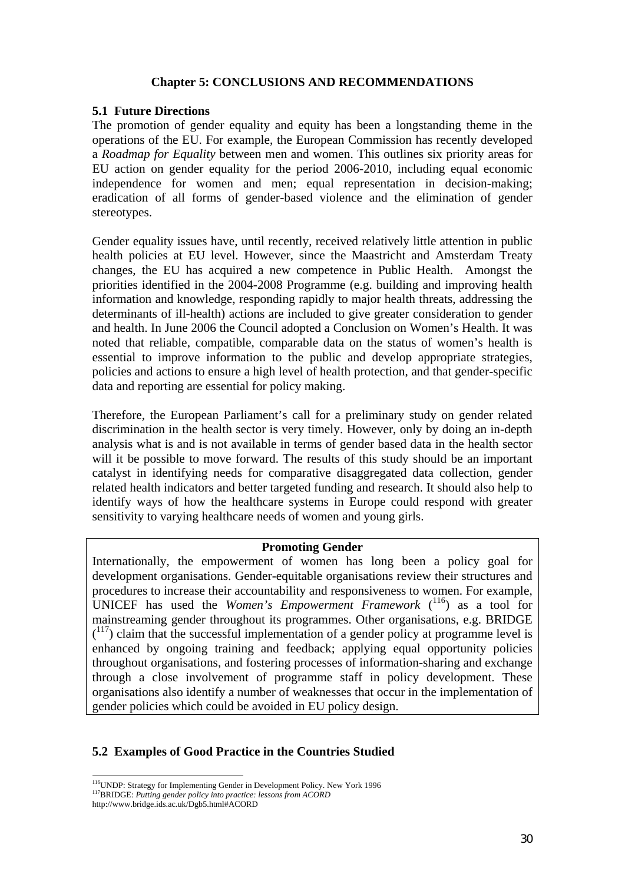#### **Chapter 5: CONCLUSIONS AND RECOMMENDATIONS**

#### **5.1 Future Directions**

The promotion of gender equality and equity has been a longstanding theme in the operations of the EU. For example, the European Commission has recently developed a *Roadmap for Equality* between men and women. This outlines six priority areas for EU action on gender equality for the period 2006-2010, including equal economic independence for women and men; equal representation in decision-making; eradication of all forms of gender-based violence and the elimination of gender stereotypes.

Gender equality issues have, until recently, received relatively little attention in public health policies at EU level. However, since the Maastricht and Amsterdam Treaty changes, the EU has acquired a new competence in Public Health. Amongst the priorities identified in the 2004-2008 Programme (e.g. building and improving health information and knowledge, responding rapidly to major health threats, addressing the determinants of ill-health) actions are included to give greater consideration to gender and health. In June 2006 the Council adopted a Conclusion on Women's Health. It was noted that reliable, compatible, comparable data on the status of women's health is essential to improve information to the public and develop appropriate strategies, policies and actions to ensure a high level of health protection, and that gender-specific data and reporting are essential for policy making.

Therefore, the European Parliament's call for a preliminary study on gender related discrimination in the health sector is very timely. However, only by doing an in-depth analysis what is and is not available in terms of gender based data in the health sector will it be possible to move forward. The results of this study should be an important catalyst in identifying needs for comparative disaggregated data collection, gender related health indicators and better targeted funding and research. It should also help to identify ways of how the healthcare systems in Europe could respond with greater sensitivity to varying healthcare needs of women and young girls.

#### **Promoting Gender**

Internationally, the empowerment of women has long been a policy goal for development organisations. Gender-equitable organisations review their structures and procedures to increase their accountability and responsiveness to women. For example, UNICEF has used the *Women's Empowerment Framework* ( 116) as a tool for mainstreaming gender throughout its programmes. Other organisations, e.g. BRIDGE  $(117)$  claim that the successful implementation of a gender policy at programme level is enhanced by ongoing training and feedback; applying equal opportunity policies throughout organisations, and fostering processes of information-sharing and exchange through a close involvement of programme staff in policy development. These organisations also identify a number of weaknesses that occur in the implementation of gender policies which could be avoided in EU policy design.

# **5.2 Examples of Good Practice in the Countries Studied**

l <sup>116</sup>UNDP: Strategy for Implementing Gender in Development Policy. New York 1996 <sup>117</sup>BRIDGE: *Putting gender policy into practice: lessons from ACORD* 

http://www.bridge.ids.ac.uk/Dgb5.html#ACORD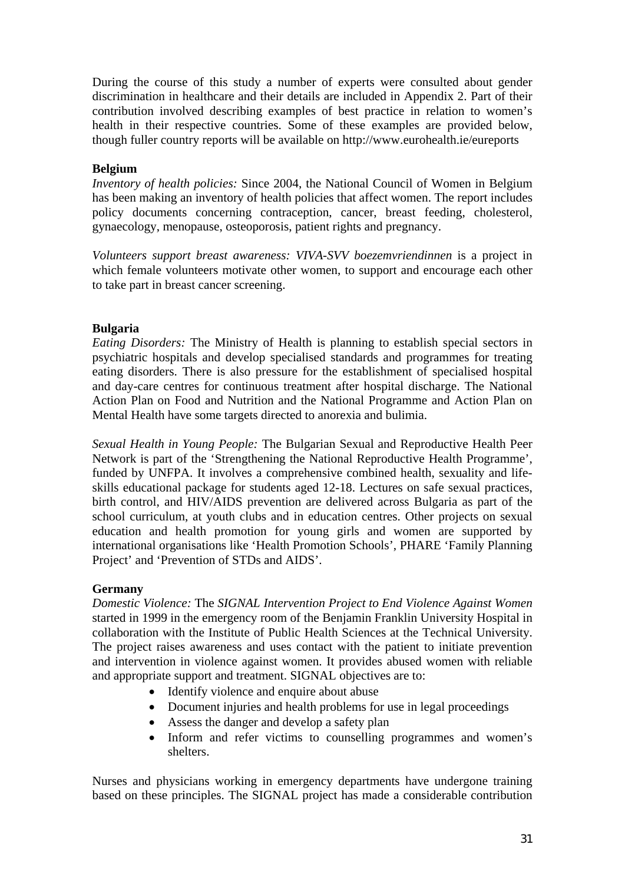During the course of this study a number of experts were consulted about gender discrimination in healthcare and their details are included in Appendix 2. Part of their contribution involved describing examples of best practice in relation to women's health in their respective countries. Some of these examples are provided below, though fuller country reports will be available on http://www.eurohealth.ie/eureports

## **Belgium**

*Inventory of health policies:* Since 2004, the National Council of Women in Belgium has been making an inventory of health policies that affect women. The report includes policy documents concerning contraception, cancer, breast feeding, cholesterol, gynaecology, menopause, osteoporosis, patient rights and pregnancy.

*Volunteers support breast awareness: VIVA-SVV boezemvriendinnen* is a project in which female volunteers motivate other women, to support and encourage each other to take part in breast cancer screening.

# **Bulgaria**

*Eating Disorders:* The Ministry of Health is planning to establish special sectors in psychiatric hospitals and develop specialised standards and programmes for treating eating disorders. There is also pressure for the establishment of specialised hospital and day-care centres for continuous treatment after hospital discharge. The National Action Plan on Food and Nutrition and the National Programme and Action Plan on Mental Health have some targets directed to anorexia and bulimia.

*Sexual Health in Young People:* The Bulgarian Sexual and Reproductive Health Peer Network is part of the 'Strengthening the National Reproductive Health Programme', funded by UNFPA. It involves a comprehensive combined health, sexuality and lifeskills educational package for students aged 12-18. Lectures on safe sexual practices, birth control, and HIV/AIDS prevention are delivered across Bulgaria as part of the school curriculum, at youth clubs and in education centres. Other projects on sexual education and health promotion for young girls and women are supported by international organisations like 'Health Promotion Schools', PHARE 'Family Planning Project' and 'Prevention of STDs and AIDS'.

#### **Germany**

*Domestic Violence:* The *SIGNAL Intervention Project to End Violence Against Women* started in 1999 in the emergency room of the Benjamin Franklin University Hospital in collaboration with the Institute of Public Health Sciences at the Technical University. The project raises awareness and uses contact with the patient to initiate prevention and intervention in violence against women. It provides abused women with reliable and appropriate support and treatment. SIGNAL objectives are to:

- Identify violence and enquire about abuse
- Document injuries and health problems for use in legal proceedings
- Assess the danger and develop a safety plan
- Inform and refer victims to counselling programmes and women's shelters.

Nurses and physicians working in emergency departments have undergone training based on these principles. The SIGNAL project has made a considerable contribution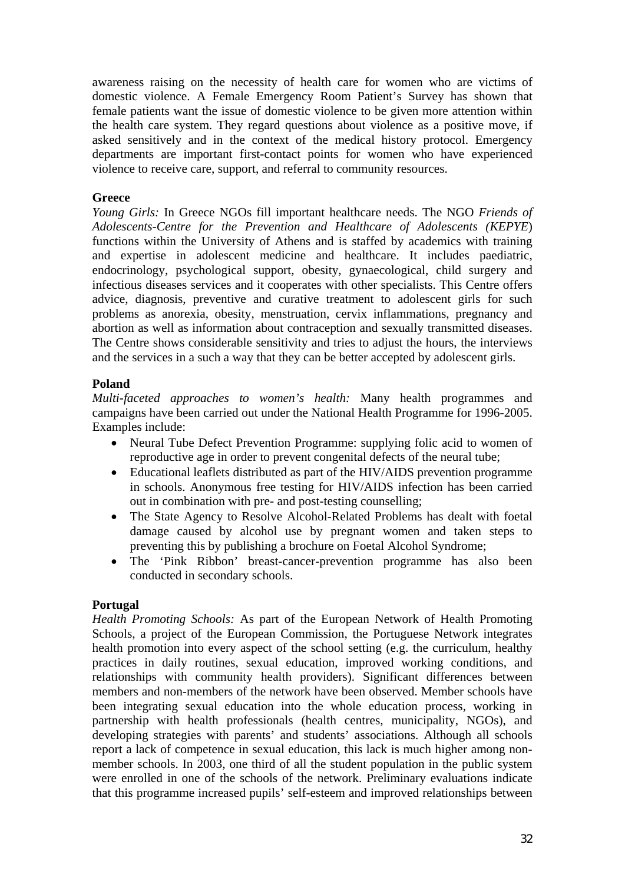awareness raising on the necessity of health care for women who are victims of domestic violence. A Female Emergency Room Patient's Survey has shown that female patients want the issue of domestic violence to be given more attention within the health care system. They regard questions about violence as a positive move, if asked sensitively and in the context of the medical history protocol. Emergency departments are important first-contact points for women who have experienced violence to receive care, support, and referral to community resources.

#### **Greece**

*Young Girls:* In Greece NGOs fill important healthcare needs. The NGO *Friends of Adolescents-Centre for the Prevention and Healthcare of Adolescents (KEPYE*) functions within the University of Athens and is staffed by academics with training and expertise in adolescent medicine and healthcare. It includes paediatric, endocrinology, psychological support, obesity, gynaecological, child surgery and infectious diseases services and it cooperates with other specialists. This Centre offers advice, diagnosis, preventive and curative treatment to adolescent girls for such problems as anorexia, obesity, menstruation, cervix inflammations, pregnancy and abortion as well as information about contraception and sexually transmitted diseases. The Centre shows considerable sensitivity and tries to adjust the hours, the interviews and the services in a such a way that they can be better accepted by adolescent girls.

# **Poland**

*Multi-faceted approaches to women's health:* Many health programmes and campaigns have been carried out under the National Health Programme for 1996-2005. Examples include:

- Neural Tube Defect Prevention Programme: supplying folic acid to women of reproductive age in order to prevent congenital defects of the neural tube;
- Educational leaflets distributed as part of the HIV/AIDS prevention programme in schools. Anonymous free testing for HIV/AIDS infection has been carried out in combination with pre- and post-testing counselling;
- The State Agency to Resolve Alcohol-Related Problems has dealt with foetal damage caused by alcohol use by pregnant women and taken steps to preventing this by publishing a brochure on Foetal Alcohol Syndrome;
- The 'Pink Ribbon' breast-cancer-prevention programme has also been conducted in secondary schools.

# **Portugal**

*Health Promoting Schools:* As part of the European Network of Health Promoting Schools, a project of the European Commission, the Portuguese Network integrates health promotion into every aspect of the school setting (e.g. the curriculum, healthy practices in daily routines, sexual education, improved working conditions, and relationships with community health providers). Significant differences between members and non-members of the network have been observed. Member schools have been integrating sexual education into the whole education process, working in partnership with health professionals (health centres, municipality, NGOs), and developing strategies with parents' and students' associations. Although all schools report a lack of competence in sexual education, this lack is much higher among nonmember schools. In 2003, one third of all the student population in the public system were enrolled in one of the schools of the network. Preliminary evaluations indicate that this programme increased pupils' self-esteem and improved relationships between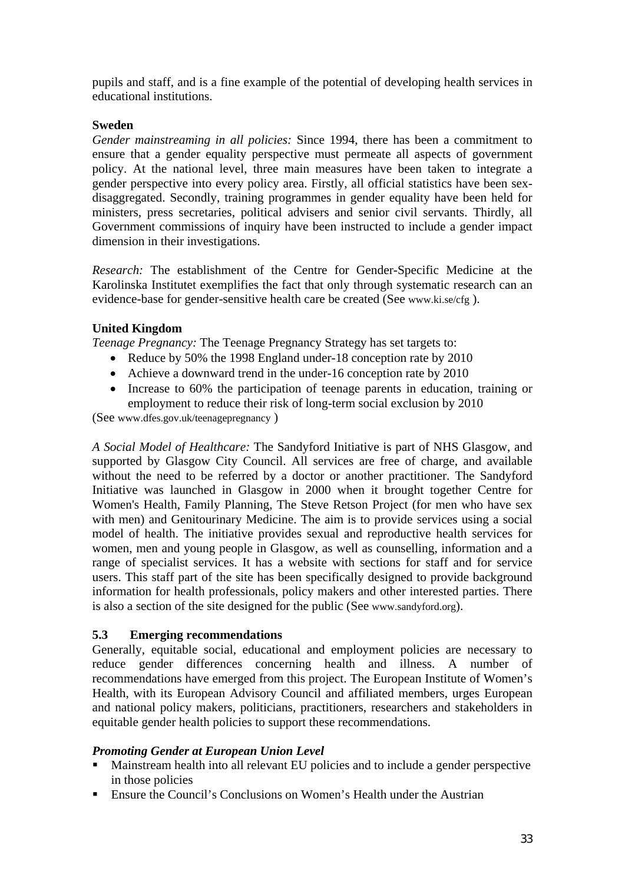pupils and staff, and is a fine example of the potential of developing health services in educational institutions.

# **Sweden**

*Gender mainstreaming in all policies:* Since 1994, there has been a commitment to ensure that a gender equality perspective must permeate all aspects of government policy. At the national level, three main measures have been taken to integrate a gender perspective into every policy area. Firstly, all official statistics have been sexdisaggregated. Secondly, training programmes in gender equality have been held for ministers, press secretaries, political advisers and senior civil servants. Thirdly, all Government commissions of inquiry have been instructed to include a gender impact dimension in their investigations.

*Research:* The establishment of the Centre for Gender-Specific Medicine at the Karolinska Institutet exemplifies the fact that only through systematic research can an evidence-base for gender-sensitive health care be created (See www.ki.se/cfg ).

# **United Kingdom**

*Teenage Pregnancy:* The Teenage Pregnancy Strategy has set targets to:

- Reduce by 50% the 1998 England under-18 conception rate by 2010
- Achieve a downward trend in the under-16 conception rate by 2010
- Increase to 60% the participation of teenage parents in education, training or employment to reduce their risk of long-term social exclusion by 2010

(See www.dfes.gov.uk/teenagepregnancy )

*A Social Model of Healthcare:* The Sandyford Initiative is part of NHS Glasgow, and supported by Glasgow City Council. All services are free of charge, and available without the need to be referred by a doctor or another practitioner. The Sandyford Initiative was launched in Glasgow in 2000 when it brought together Centre for Women's Health, Family Planning, The Steve Retson Project (for men who have sex with men) and Genitourinary Medicine. The aim is to provide services using a social model of health. The initiative provides sexual and reproductive health services for women, men and young people in Glasgow, as well as counselling, information and a range of specialist services. It has a website with sections for staff and for service users. This staff part of the site has been specifically designed to provide background information for health professionals, policy makers and other interested parties. There is also a section of the site designed for the public (See www.sandyford.org).

# **5.3 Emerging recommendations**

Generally, equitable social, educational and employment policies are necessary to reduce gender differences concerning health and illness. A number of recommendations have emerged from this project. The European Institute of Women's Health, with its European Advisory Council and affiliated members, urges European and national policy makers, politicians, practitioners, researchers and stakeholders in equitable gender health policies to support these recommendations.

# *Promoting Gender at European Union Level*

- Mainstream health into all relevant EU policies and to include a gender perspective in those policies
- **Ensure the Council's Conclusions on Women's Health under the Austrian**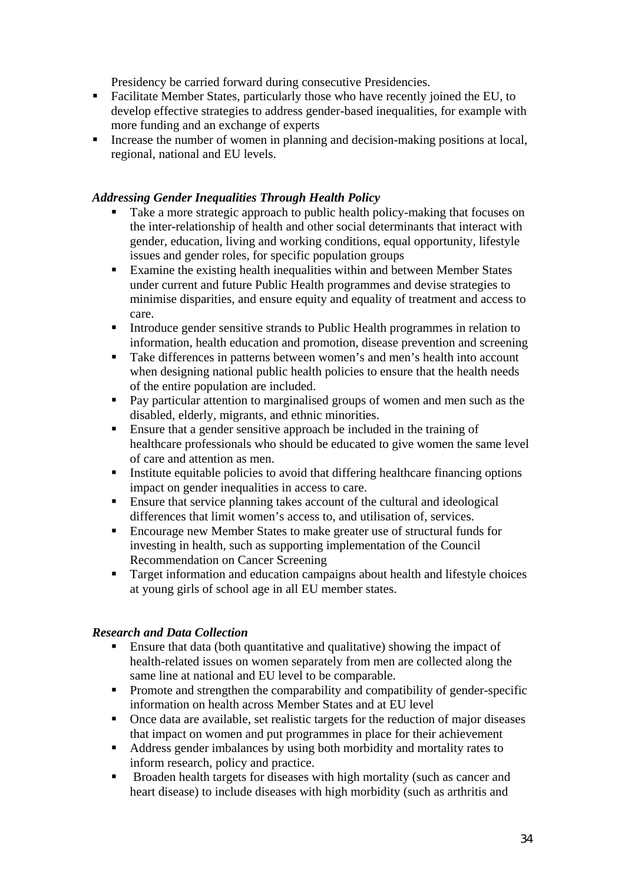Presidency be carried forward during consecutive Presidencies.

- Facilitate Member States, particularly those who have recently joined the EU, to develop effective strategies to address gender-based inequalities, for example with more funding and an exchange of experts
- Increase the number of women in planning and decision-making positions at local, regional, national and EU levels.

# *Addressing Gender Inequalities Through Health Policy*

- Take a more strategic approach to public health policy-making that focuses on the inter-relationship of health and other social determinants that interact with gender, education, living and working conditions, equal opportunity, lifestyle issues and gender roles, for specific population groups
- Examine the existing health inequalities within and between Member States under current and future Public Health programmes and devise strategies to minimise disparities, and ensure equity and equality of treatment and access to care.
- Introduce gender sensitive strands to Public Health programmes in relation to information, health education and promotion, disease prevention and screening
- Take differences in patterns between women's and men's health into account when designing national public health policies to ensure that the health needs of the entire population are included.
- **Pay particular attention to marginalised groups of women and men such as the** disabled, elderly, migrants, and ethnic minorities.
- Ensure that a gender sensitive approach be included in the training of healthcare professionals who should be educated to give women the same level of care and attention as men.
- Institute equitable policies to avoid that differing healthcare financing options impact on gender inequalities in access to care.
- Ensure that service planning takes account of the cultural and ideological differences that limit women's access to, and utilisation of, services.
- Encourage new Member States to make greater use of structural funds for investing in health, such as supporting implementation of the Council Recommendation on Cancer Screening
- **Target information and education campaigns about health and lifestyle choices** at young girls of school age in all EU member states.

# *Research and Data Collection*

- Ensure that data (both quantitative and qualitative) showing the impact of health-related issues on women separately from men are collected along the same line at national and EU level to be comparable.
- **Promote and strengthen the comparability and compatibility of gender-specific** information on health across Member States and at EU level
- Once data are available, set realistic targets for the reduction of major diseases that impact on women and put programmes in place for their achievement
- Address gender imbalances by using both morbidity and mortality rates to inform research, policy and practice.
- Broaden health targets for diseases with high mortality (such as cancer and heart disease) to include diseases with high morbidity (such as arthritis and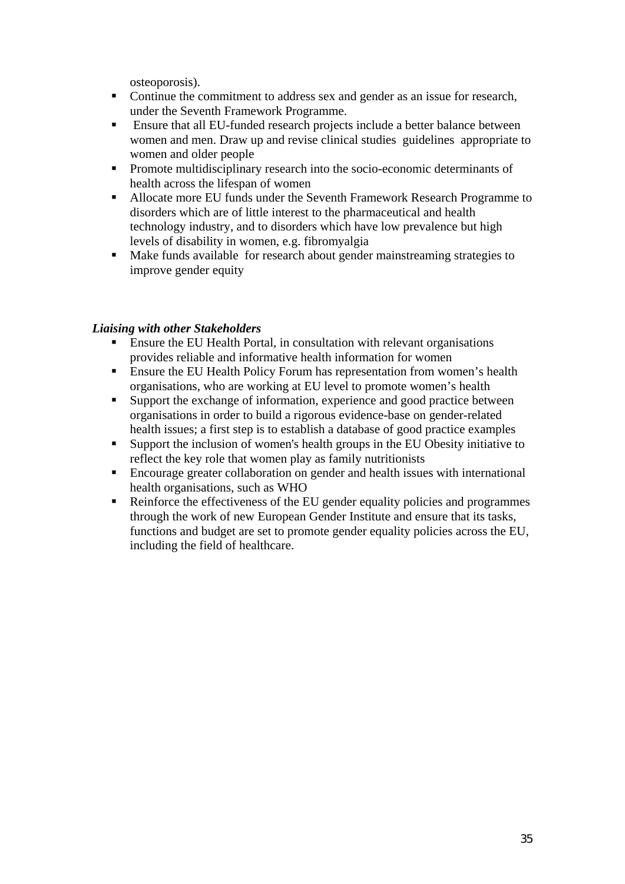osteoporosis).

- Continue the commitment to address sex and gender as an issue for research, under the Seventh Framework Programme.
- **Ensure that all EU-funded research projects include a better balance between** women and men. Draw up and revise clinical studies guidelines appropriate to women and older people
- **Promote multidisciplinary research into the socio-economic determinants of** health across the lifespan of women
- Allocate more EU funds under the Seventh Framework Research Programme to disorders which are of little interest to the pharmaceutical and health technology industry, and to disorders which have low prevalence but high levels of disability in women, e.g. fibromyalgia
- Make funds available for research about gender mainstreaming strategies to improve gender equity

# *Liaising with other Stakeholders*

- Ensure the EU Health Portal, in consultation with relevant organisations provides reliable and informative health information for women
- **Ensure the EU Health Policy Forum has representation from women's health** organisations, who are working at EU level to promote women's health
- Support the exchange of information, experience and good practice between organisations in order to build a rigorous evidence-base on gender-related health issues; a first step is to establish a database of good practice examples
- Support the inclusion of women's health groups in the EU Obesity initiative to reflect the key role that women play as family nutritionists
- Encourage greater collaboration on gender and health issues with international health organisations, such as WHO
- Reinforce the effectiveness of the EU gender equality policies and programmes through the work of new European Gender Institute and ensure that its tasks, functions and budget are set to promote gender equality policies across the EU, including the field of healthcare.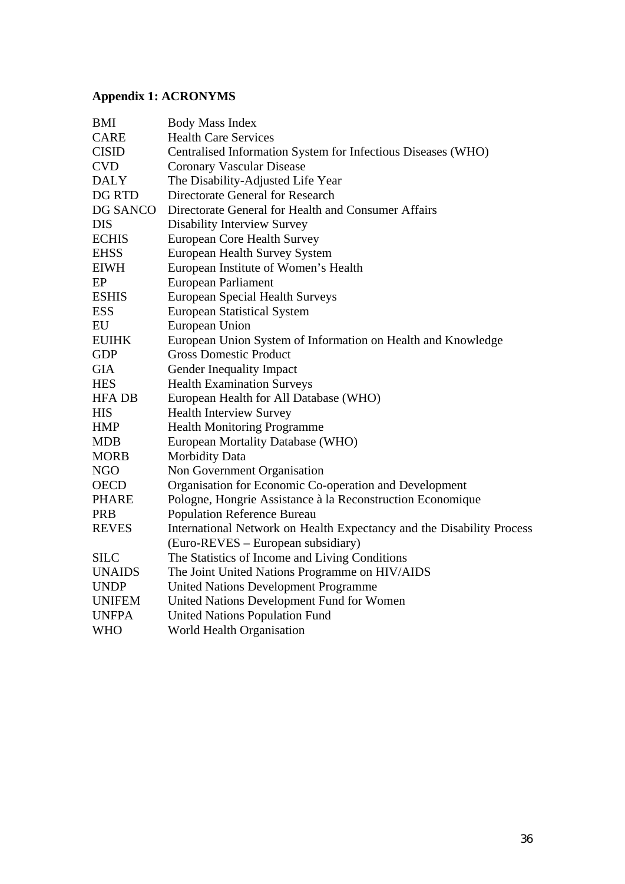# **Appendix 1: ACRONYMS**

| <b>BMI</b>    | <b>Body Mass Index</b>                                                |
|---------------|-----------------------------------------------------------------------|
| <b>CARE</b>   | <b>Health Care Services</b>                                           |
| <b>CISID</b>  | Centralised Information System for Infectious Diseases (WHO)          |
| <b>CVD</b>    | <b>Coronary Vascular Disease</b>                                      |
| <b>DALY</b>   | The Disability-Adjusted Life Year                                     |
| DG RTD        | Directorate General for Research                                      |
| DG SANCO      | Directorate General for Health and Consumer Affairs                   |
| <b>DIS</b>    | <b>Disability Interview Survey</b>                                    |
| <b>ECHIS</b>  | <b>European Core Health Survey</b>                                    |
| <b>EHSS</b>   | <b>European Health Survey System</b>                                  |
| <b>EIWH</b>   | European Institute of Women's Health                                  |
| EP            | European Parliament                                                   |
| <b>ESHIS</b>  | <b>European Special Health Surveys</b>                                |
| <b>ESS</b>    | <b>European Statistical System</b>                                    |
| EU            | European Union                                                        |
| <b>EUIHK</b>  | European Union System of Information on Health and Knowledge          |
| <b>GDP</b>    | <b>Gross Domestic Product</b>                                         |
| <b>GIA</b>    | Gender Inequality Impact                                              |
| <b>HES</b>    | <b>Health Examination Surveys</b>                                     |
| <b>HFA DB</b> | European Health for All Database (WHO)                                |
| <b>HIS</b>    | <b>Health Interview Survey</b>                                        |
| <b>HMP</b>    | <b>Health Monitoring Programme</b>                                    |
| <b>MDB</b>    | European Mortality Database (WHO)                                     |
| <b>MORB</b>   | Morbidity Data                                                        |
| <b>NGO</b>    | Non Government Organisation                                           |
| <b>OECD</b>   | Organisation for Economic Co-operation and Development                |
| <b>PHARE</b>  | Pologne, Hongrie Assistance à la Reconstruction Economique            |
| <b>PRB</b>    | <b>Population Reference Bureau</b>                                    |
| <b>REVES</b>  | International Network on Health Expectancy and the Disability Process |
|               | (Euro-REVES – European subsidiary)                                    |
| <b>SILC</b>   | The Statistics of Income and Living Conditions                        |
| <b>UNAIDS</b> | The Joint United Nations Programme on HIV/AIDS                        |
| <b>UNDP</b>   | <b>United Nations Development Programme</b>                           |
| <b>UNIFEM</b> | United Nations Development Fund for Women                             |
| <b>UNFPA</b>  | <b>United Nations Population Fund</b>                                 |
| <b>WHO</b>    | <b>World Health Organisation</b>                                      |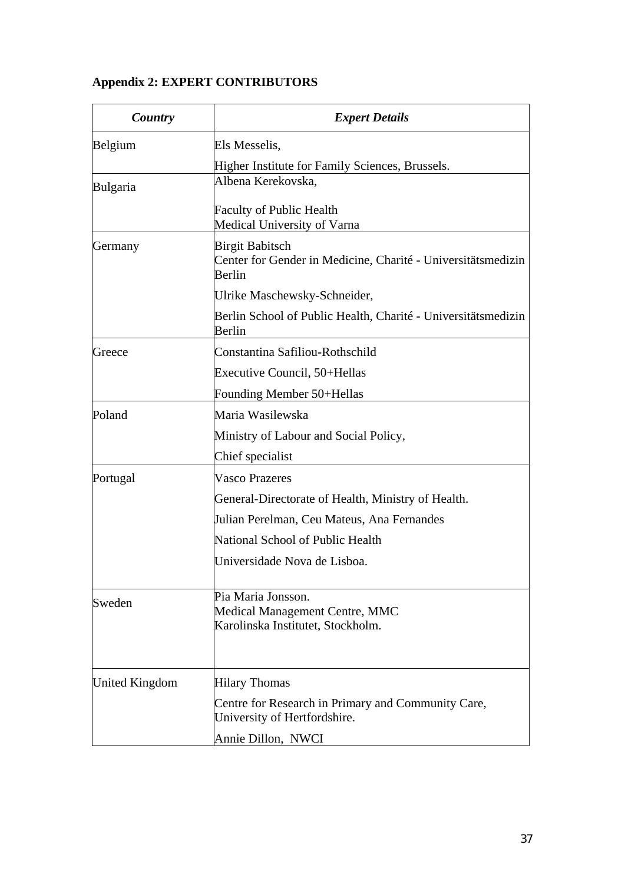# **Appendix 2: EXPERT CONTRIBUTORS**

| Country        | <b>Expert Details</b>                                                                            |
|----------------|--------------------------------------------------------------------------------------------------|
| Belgium        | Els Messelis,                                                                                    |
|                | Higher Institute for Family Sciences, Brussels.                                                  |
| Bulgaria       | Albena Kerekovska,                                                                               |
|                | Faculty of Public Health<br>Medical University of Varna                                          |
| Germany        | <b>Birgit Babitsch</b><br>Center for Gender in Medicine, Charité - Universitätsmedizin<br>Berlin |
|                | Ulrike Maschewsky-Schneider,                                                                     |
|                | Berlin School of Public Health, Charité - Universitätsmedizin<br>Berlin                          |
| Greece         | Constantina Safiliou-Rothschild                                                                  |
|                | Executive Council, 50+Hellas                                                                     |
|                | Founding Member 50+Hellas                                                                        |
| Poland         | Maria Wasilewska                                                                                 |
|                | Ministry of Labour and Social Policy,                                                            |
|                | Chief specialist                                                                                 |
| Portugal       | <b>Vasco Prazeres</b>                                                                            |
|                | General-Directorate of Health, Ministry of Health.                                               |
|                | Julian Perelman, Ceu Mateus, Ana Fernandes                                                       |
|                | National School of Public Health                                                                 |
|                | Universidade Nova de Lisboa.                                                                     |
| Sweden         | Pia Maria Jonsson.<br>Medical Management Centre, MMC<br>Karolinska Institutet, Stockholm.        |
| United Kingdom | <b>Hilary Thomas</b>                                                                             |
|                | Centre for Research in Primary and Community Care,<br>University of Hertfordshire.               |
|                | Annie Dillon, NWCI                                                                               |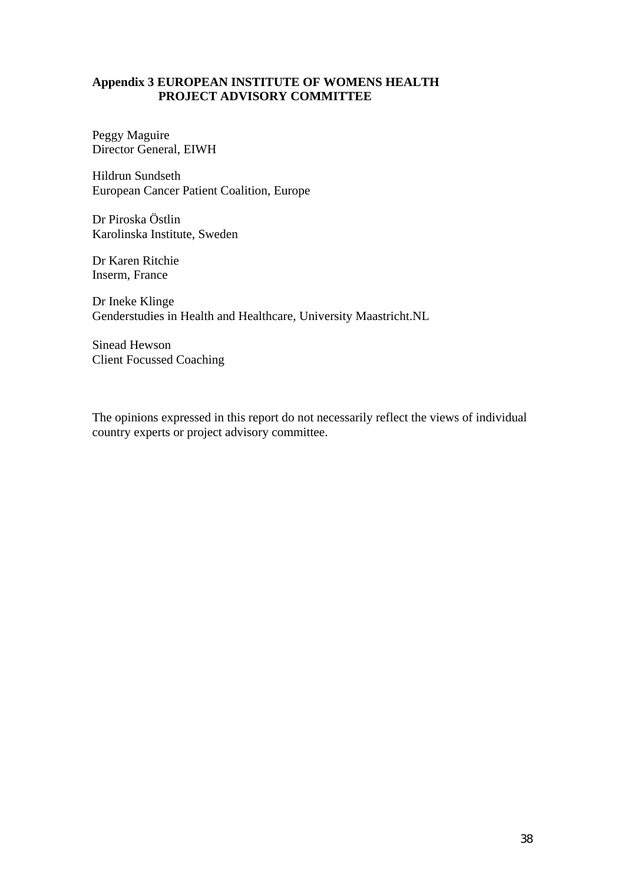## **Appendix 3 EUROPEAN INSTITUTE OF WOMENS HEALTH PROJECT ADVISORY COMMITTEE**

Peggy Maguire Director General, EIWH

Hildrun Sundseth European Cancer Patient Coalition, Europe

Dr Piroska Östlin Karolinska Institute, Sweden

Dr Karen Ritchie Inserm, France

Dr Ineke Klinge Genderstudies in Health and Healthcare, University Maastricht.NL

Sinead Hewson Client Focussed Coaching

The opinions expressed in this report do not necessarily reflect the views of individual country experts or project advisory committee.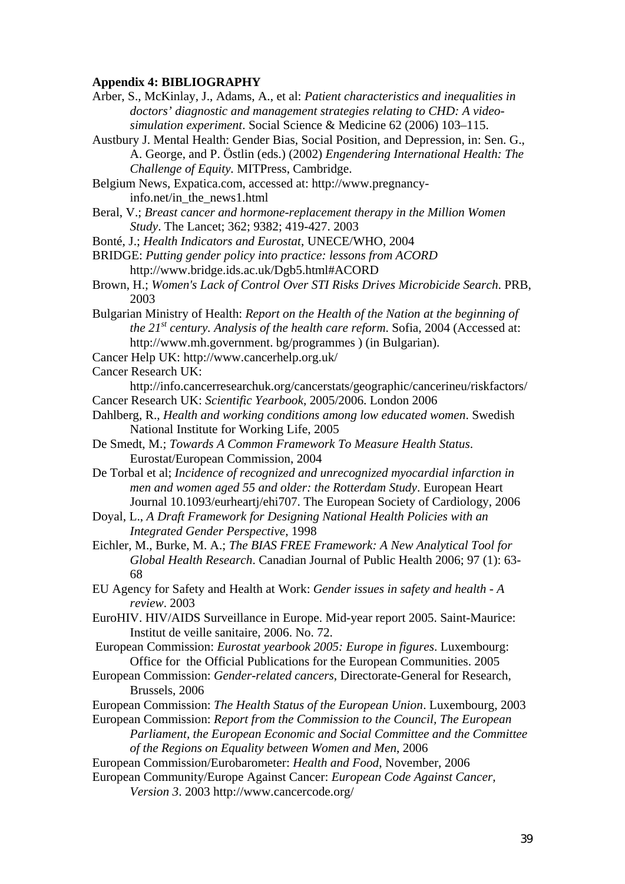#### **Appendix 4: BIBLIOGRAPHY**

- Arber, S., McKinlay, J., Adams, A., et al: *Patient characteristics and inequalities in doctors' diagnostic and management strategies relating to CHD: A videosimulation experiment*. Social Science & Medicine 62 (2006) 103–115.
- Austbury J. Mental Health: Gender Bias, Social Position, and Depression, in: Sen. G., A. George, and P. Östlin (eds.) (2002) *Engendering International Health: The Challenge of Equity.* MITPress, Cambridge.
- Belgium News, Expatica.com, accessed at: http://www.pregnancyinfo.net/in\_the\_news1.html
- Beral, V.; *Breast cancer and hormone-replacement therapy in the Million Women Study*. The Lancet; 362; 9382; 419-427. 2003
- Bonté, J.; *Health Indicators and Eurostat*, UNECE/WHO, 2004
- BRIDGE: *Putting gender policy into practice: lessons from ACORD* http://www.bridge.ids.ac.uk/Dgb5.html#ACORD
- Brown, H.; *Women's Lack of Control Over STI Risks Drives Microbicide Search*. PRB, 2003
- Bulgarian Ministry of Health: *Report on the Health of the Nation at the beginning of the 21st century. Analysis of the health care reform*. Sofia, 2004 (Accessed at: http://www.mh.government. bg/programmes ) (in Bulgarian).
- Cancer Help UK: http://www.cancerhelp.org.uk/

Cancer Research UK:

- http://info.cancerresearchuk.org/cancerstats/geographic/cancerineu/riskfactors/ Cancer Research UK: *Scientific Yearbook*, 2005/2006. London 2006
- Dahlberg, R., *Health and working conditions among low educated women*. Swedish National Institute for Working Life, 2005
- De Smedt, M.; *Towards A Common Framework To Measure Health Status*. Eurostat/European Commission, 2004
- De Torbal et al; *Incidence of recognized and unrecognized myocardial infarction in men and women aged 55 and older: the Rotterdam Study*. European Heart Journal 10.1093/eurheartj/ehi707. The European Society of Cardiology, 2006
- Doyal, L., *A Draft Framework for Designing National Health Policies with an Integrated Gender Perspective*, 1998
- Eichler, M., Burke, M. A.; *The BIAS FREE Framework: A New Analytical Tool for Global Health Research*. Canadian Journal of Public Health 2006; 97 (1): 63- 68
- EU Agency for Safety and Health at Work: *Gender issues in safety and health A review*. 2003
- EuroHIV. HIV/AIDS Surveillance in Europe. Mid-year report 2005. Saint-Maurice: Institut de veille sanitaire, 2006. No. 72.
- European Commission: *Eurostat yearbook 2005: Europe in figures*. Luxembourg: Office for the Official Publications for the European Communities. 2005
- European Commission: *Gender-related cancers*, Directorate-General for Research, Brussels, 2006
- European Commission: *The Health Status of the European Union*. Luxembourg, 2003
- European Commission: *Report from the Commission to the Council, The European Parliament, the European Economic and Social Committee and the Committee of the Regions on Equality between Women and Men*, 2006
- European Commission/Eurobarometer: *Health and Food*, November, 2006
- European Community/Europe Against Cancer: *European Code Against Cancer, Version 3*. 2003 http://www.cancercode.org/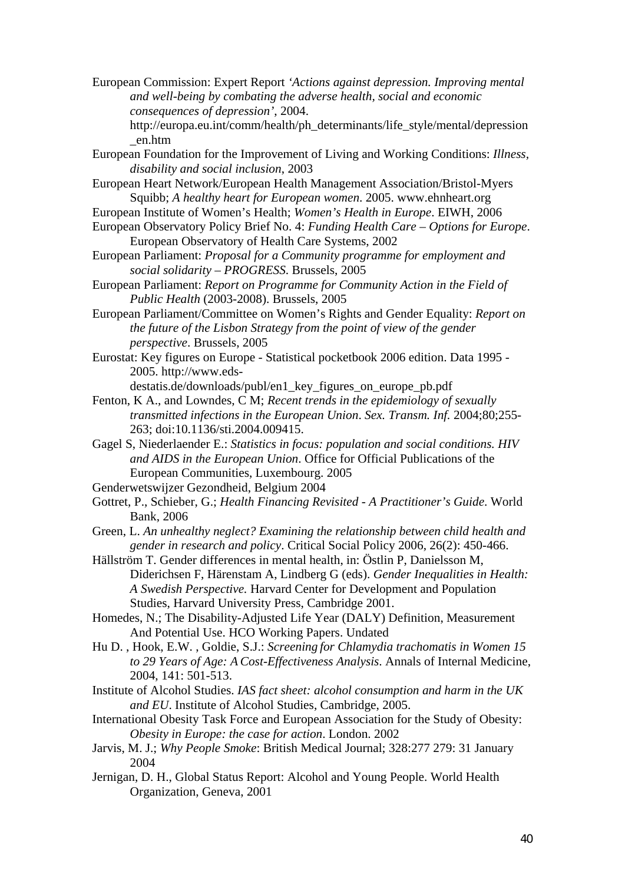European Commission: Expert Report *'Actions against depression. Improving mental and well-being by combating the adverse health, social and economic consequences of depression'*, 2004.

http://europa.eu.int/comm/health/ph\_determinants/life\_style/mental/depression \_en.htm

European Foundation for the Improvement of Living and Working Conditions: *Illness, disability and social inclusion*, 2003

European Heart Network/European Health Management Association/Bristol-Myers Squibb; *A healthy heart for European women*. 2005. www.ehnheart.org

- European Institute of Women's Health; *Women's Health in Europe*. EIWH, 2006
- European Observatory Policy Brief No. 4: *Funding Health Care Options for Europe*. European Observatory of Health Care Systems, 2002
- European Parliament: *Proposal for a Community programme for employment and social solidarity – PROGRESS*. Brussels, 2005
- European Parliament: *Report on Programme for Community Action in the Field of Public Health* (2003-2008). Brussels, 2005
- European Parliament/Committee on Women's Rights and Gender Equality: *Report on the future of the Lisbon Strategy from the point of view of the gender perspective*. Brussels, 2005
- Eurostat: Key figures on Europe Statistical pocketbook 2006 edition. Data 1995 2005. http://www.eds-

destatis.de/downloads/publ/en1\_key\_figures\_on\_europe\_pb.pdf

- Fenton, K A., and Lowndes, C M; *Recent trends in the epidemiology of sexually transmitted infections in the European Union*. *Sex. Transm. Inf.* 2004;80;255- 263; doi:10.1136/sti.2004.009415.
- Gagel S, Niederlaender E.: *Statistics in focus: population and social conditions. HIV and AIDS in the European Union*. Office for Official Publications of the European Communities, Luxembourg. 2005
- Genderwetswijzer Gezondheid, Belgium 2004
- Gottret, P., Schieber, G.; *Health Financing Revisited A Practitioner's Guide*. World Bank, 2006
- Green, L. *An unhealthy neglect? Examining the relationship between child health and gender in research and policy*. Critical Social Policy 2006, 26(2): 450-466.
- Hällström T. Gender differences in mental health, in: Östlin P, Danielsson M, Diderichsen F, Härenstam A, Lindberg G (eds). *Gender Inequalities in Health: A Swedish Perspective.* Harvard Center for Development and Population Studies, Harvard University Press, Cambridge 2001.
- Homedes, N.; The Disability-Adjusted Life Year (DALY) Definition, Measurement And Potential Use. HCO Working Papers. Undated
- Hu D. , Hook, E.W. , Goldie, S.J.: *Screening for Chlamydia trachomatis in Women 15 to 29 Years of Age: ACost-Effectiveness Analysis*. Annals of Internal Medicine, 2004, 141: 501-513.
- Institute of Alcohol Studies. *IAS fact sheet: alcohol consumption and harm in the UK and EU*. Institute of Alcohol Studies, Cambridge, 2005.
- International Obesity Task Force and European Association for the Study of Obesity: *Obesity in Europe: the case for action*. London. 2002
- Jarvis, M. J.; *Why People Smoke*: British Medical Journal; 328:277 279: 31 January 2004
- Jernigan, D. H., Global Status Report: Alcohol and Young People. World Health Organization, Geneva, 2001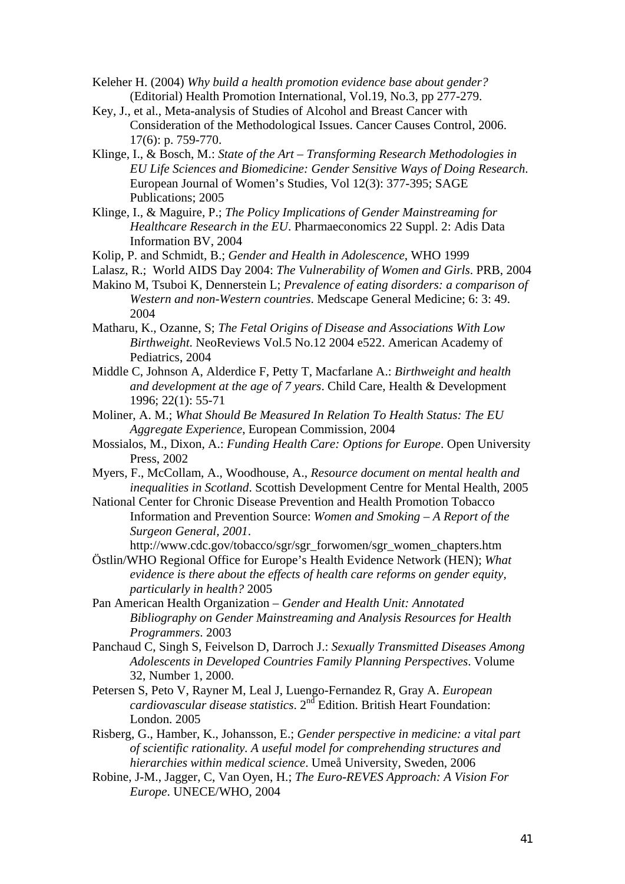- Keleher H. (2004) *Why build a health promotion evidence base about gender?* (Editorial) Health Promotion International, Vol.19, No.3, pp 277-279.
- Key, J., et al., Meta-analysis of Studies of Alcohol and Breast Cancer with Consideration of the Methodological Issues. Cancer Causes Control, 2006. 17(6): p. 759-770.
- Klinge, I., & Bosch, M.: *State of the Art Transforming Research Methodologies in EU Life Sciences and Biomedicine: Gender Sensitive Ways of Doing Research*. European Journal of Women's Studies, Vol 12(3): 377-395; SAGE Publications; 2005
- Klinge, I., & Maguire, P.; *The Policy Implications of Gender Mainstreaming for Healthcare Research in the EU*. Pharmaeconomics 22 Suppl. 2: Adis Data Information BV, 2004
- Kolip, P. and Schmidt, B.; *Gender and Health in Adolescence*, WHO 1999
- Lalasz, R.; World AIDS Day 2004: *The Vulnerability of Women and Girls*. PRB, 2004
- Makino M, Tsuboi K, Dennerstein L; *Prevalence of eating disorders: a comparison of Western and non-Western countries*. Medscape General Medicine; 6: 3: 49. 2004
- Matharu, K., Ozanne, S; *The Fetal Origins of Disease and Associations With Low Birthweight*. NeoReviews Vol.5 No.12 2004 e522. American Academy of Pediatrics, 2004
- Middle C, Johnson A, Alderdice F, Petty T, Macfarlane A.: *Birthweight and health and development at the age of 7 years*. Child Care, Health & Development 1996; 22(1): 55-71
- Moliner, A. M.; *What Should Be Measured In Relation To Health Status: The EU Aggregate Experience*, European Commission, 2004
- Mossialos, M., Dixon, A.: *Funding Health Care: Options for Europe*. Open University Press, 2002
- Myers, F., McCollam, A., Woodhouse, A., *Resource document on mental health and inequalities in Scotland*. Scottish Development Centre for Mental Health, 2005
- National Center for Chronic Disease Prevention and Health Promotion Tobacco Information and Prevention Source: *Women and Smoking – A Report of the Surgeon General, 2001*.

http://www.cdc.gov/tobacco/sgr/sgr\_forwomen/sgr\_women\_chapters.htm

- Östlin/WHO Regional Office for Europe's Health Evidence Network (HEN); *What evidence is there about the effects of health care reforms on gender equity, particularly in health?* 2005
- Pan American Health Organization *Gender and Health Unit: Annotated Bibliography on Gender Mainstreaming and Analysis Resources for Health Programmers*. 2003
- Panchaud C, Singh S, Feivelson D, Darroch J.: *Sexually Transmitted Diseases Among Adolescents in Developed Countries Family Planning Perspectives*. Volume 32, Number 1, 2000.
- Petersen S, Peto V, Rayner M, Leal J, Luengo-Fernandez R, Gray A. *European cardiovascular disease statistics*. 2nd Edition. British Heart Foundation: London. 2005
- Risberg, G., Hamber, K., Johansson, E.; *Gender perspective in medicine: a vital part of scientific rationality. A useful model for comprehending structures and hierarchies within medical science*. Umeå University, Sweden, 2006
- Robine, J-M., Jagger, C, Van Oyen, H.; *The Euro-REVES Approach: A Vision For Europe*. UNECE/WHO, 2004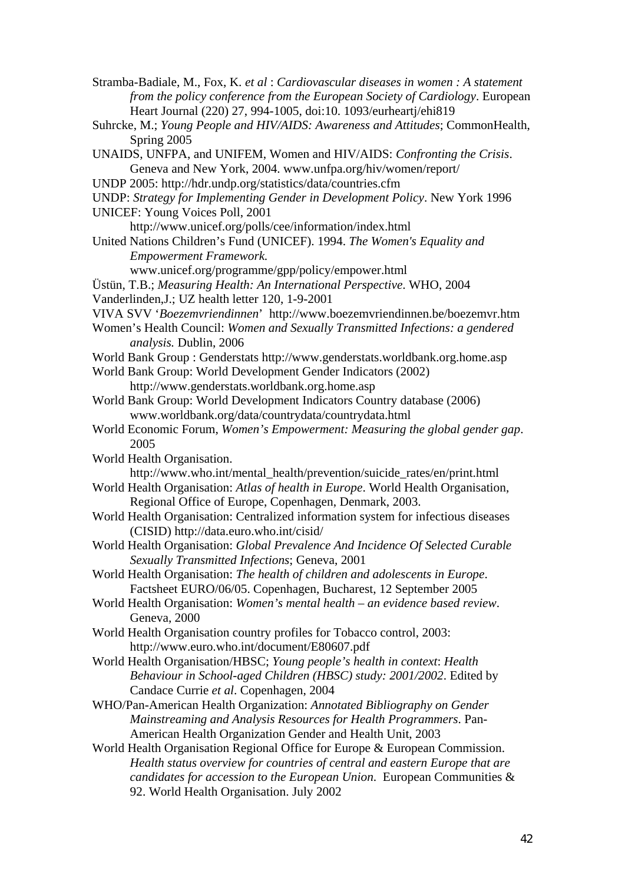Stramba-Badiale, M., Fox, K. *et al* : *Cardiovascular diseases in women : A statement from the policy conference from the European Society of Cardiology*. European Heart Journal (220) 27, 994-1005, doi:10. 1093/eurheartj/ehi819

- Suhrcke, M.; *Young People and HIV/AIDS: Awareness and Attitudes*; CommonHealth, Spring 2005
- UNAIDS, UNFPA, and UNIFEM, Women and HIV/AIDS: *Confronting the Crisis*. Geneva and New York, 2004. www.unfpa.org/hiv/women/report/
- UNDP 2005: http://hdr.undp.org/statistics/data/countries.cfm
- UNDP: *Strategy for Implementing Gender in Development Policy*. New York 1996
- UNICEF: Young Voices Poll, 2001

http://www.unicef.org/polls/cee/information/index.html

United Nations Children's Fund (UNICEF). 1994. *The Women's Equality and Empowerment Framework.*

www.unicef.org/programme/gpp/policy/empower.html

- Üstün, T.B.; *Measuring Health: An International Perspective*. WHO, 2004
- Vanderlinden,J.; UZ health letter 120, 1-9-2001
- VIVA SVV '*Boezemvriendinnen*' http://www.boezemvriendinnen.be/boezemvr.htm
- Women's Health Council: *Women and Sexually Transmitted Infections: a gendered analysis.* Dublin, 2006
- World Bank Group : Genderstats http://www.genderstats.worldbank.org.home.asp
- World Bank Group: World Development Gender Indicators (2002) http://www.genderstats.worldbank.org.home.asp
- World Bank Group: World Development Indicators Country database (2006) www.worldbank.org/data/countrydata/countrydata.html
- World Economic Forum, *Women's Empowerment: Measuring the global gender gap*. 2005
- World Health Organisation. http://www.who.int/mental\_health/prevention/suicide\_rates/en/print.html
- World Health Organisation: *Atlas of health in Europe*. World Health Organisation, Regional Office of Europe, Copenhagen, Denmark, 2003.
- World Health Organisation: Centralized information system for infectious diseases (CISID) http://data.euro.who.int/cisid/
- World Health Organisation: *Global Prevalence And Incidence Of Selected Curable Sexually Transmitted Infections*; Geneva, 2001
- World Health Organisation: *The health of children and adolescents in Europe*. Factsheet EURO/06/05. Copenhagen, Bucharest, 12 September 2005
- World Health Organisation: *Women's mental health an evidence based review*. Geneva, 2000
- World Health Organisation country profiles for Tobacco control, 2003: http://www.euro.who.int/document/E80607.pdf
- World Health Organisation/HBSC; *Young people's health in context*: *Health Behaviour in School-aged Children (HBSC) study: 2001/2002*. Edited by Candace Currie *et al*. Copenhagen, 2004
- WHO/Pan-American Health Organization: *Annotated Bibliography on Gender Mainstreaming and Analysis Resources for Health Programmers*. Pan-American Health Organization Gender and Health Unit, 2003
- World Health Organisation Regional Office for Europe & European Commission. *Health status overview for countries of central and eastern Europe that are candidates for accession to the European Union*. European Communities & 92. World Health Organisation. July 2002